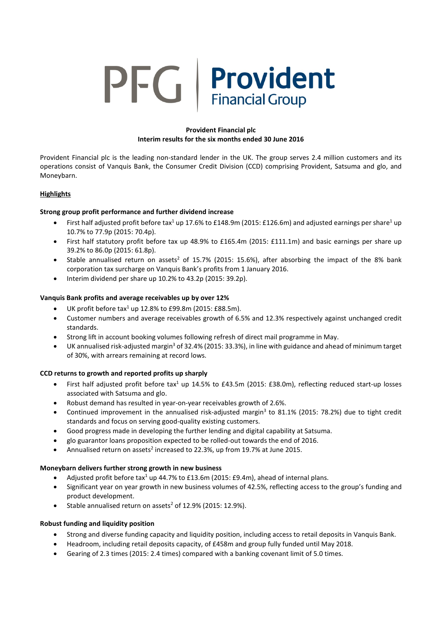# PFG | Provident

# **Provident Financial plc Interim results for the six months ended 30 June 2016**

Provident Financial plc is the leading non-standard lender in the UK. The group serves 2.4 million customers and its operations consist of Vanquis Bank, the Consumer Credit Division (CCD) comprising Provident, Satsuma and glo, and Moneybarn.

# **Highlights**

# **Strong group profit performance and further dividend increase**

- First half adjusted profit before tax<sup>1</sup> up 17.6% to £148.9m (2015: £126.6m) and adjusted earnings per share<sup>1</sup> up 10.7% to 77.9p (2015: 70.4p).
- First half statutory profit before tax up 48.9% to £165.4m (2015: £111.1m) and basic earnings per share up 39.2% to 86.0p (2015: 61.8p).
- Stable annualised return on assets<sup>2</sup> of 15.7% (2015: 15.6%), after absorbing the impact of the 8% bank corporation tax surcharge on Vanquis Bank's profits from 1 January 2016.
- Interim dividend per share up 10.2% to 43.2p (2015: 39.2p).

# **Vanquis Bank profits and average receivables up by over 12%**

- UK profit before  $\text{tax}^1$  up 12.8% to £99.8m (2015: £88.5m).
- Customer numbers and average receivables growth of 6.5% and 12.3% respectively against unchanged credit standards.
- Strong lift in account booking volumes following refresh of direct mail programme in May.
- UK annualised risk-adjusted margin<sup>3</sup> of 32.4% (2015: 33.3%), in line with guidance and ahead of minimum target of 30%, with arrears remaining at record lows.

# **CCD returns to growth and reported profits up sharply**

- First half adjusted profit before tax<sup>1</sup> up 14.5% to £43.5m (2015: £38.0m), reflecting reduced start-up losses associated with Satsuma and glo.
- Robust demand has resulted in year-on-year receivables growth of 2.6%.
- Continued improvement in the annualised risk-adjusted margin<sup>3</sup> to 81.1% (2015: 78.2%) due to tight credit standards and focus on serving good-quality existing customers.
- Good progress made in developing the further lending and digital capability at Satsuma.
- glo guarantor loans proposition expected to be rolled-out towards the end of 2016.
- Annualised return on assets<sup>2</sup> increased to 22.3%, up from 19.7% at June 2015.

# **Moneybarn delivers further strong growth in new business**

- Adjusted profit before tax<sup>1</sup> up 44.7% to £13.6m (2015: £9.4m), ahead of internal plans.
- Significant year on year growth in new business volumes of 42.5%, reflecting access to the group's funding and product development.
- Stable annualised return on assets<sup>2</sup> of 12.9% (2015: 12.9%).

# **Robust funding and liquidity position**

- Strong and diverse funding capacity and liquidity position, including access to retail deposits in Vanquis Bank.
- Headroom, including retail deposits capacity, of £458m and group fully funded until May 2018.
- Gearing of 2.3 times (2015: 2.4 times) compared with a banking covenant limit of 5.0 times.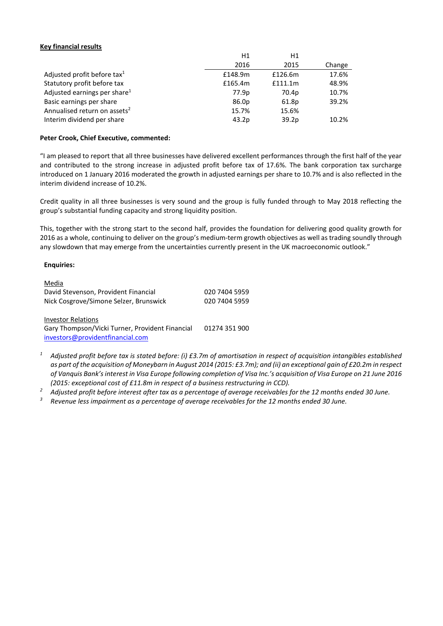## **Key financial results**

|                                          | H1      | H1                |        |
|------------------------------------------|---------|-------------------|--------|
|                                          | 2016    | 2015              | Change |
| Adjusted profit before tax <sup>1</sup>  | £148.9m | £126.6m           | 17.6%  |
| Statutory profit before tax              | £165.4m | £111.1m           | 48.9%  |
| Adjusted earnings per share <sup>1</sup> | 77.9p   | 70.4p             | 10.7%  |
| Basic earnings per share                 | 86.0p   | 61.8p             | 39.2%  |
| Annualised return on assets <sup>2</sup> | 15.7%   | 15.6%             |        |
| Interim dividend per share               | 43.2p   | 39.2 <sub>p</sub> | 10.2%  |

#### **Peter Crook, Chief Executive, commented:**

"I am pleased to report that all three businesses have delivered excellent performances through the first half of the year and contributed to the strong increase in adjusted profit before tax of 17.6%. The bank corporation tax surcharge introduced on 1 January 2016 moderated the growth in adjusted earnings per share to 10.7% and is also reflected in the interim dividend increase of 10.2%.

Credit quality in all three businesses is very sound and the group is fully funded through to May 2018 reflecting the group's substantial funding capacity and strong liquidity position.

This, together with the strong start to the second half, provides the foundation for delivering good quality growth for 2016 as a whole, continuing to deliver on the group's medium-term growth objectives as well as trading soundly through any slowdown that may emerge from the uncertainties currently present in the UK macroeconomic outlook."

#### **Enquiries:**

| Media                                           |               |
|-------------------------------------------------|---------------|
| David Stevenson, Provident Financial            | 020 7404 5959 |
| Nick Cosgrove/Simone Selzer, Brunswick          | 020 7404 5959 |
|                                                 |               |
| <b>Investor Relations</b>                       |               |
| Gary Thompson/Vicki Turner, Provident Financial | 01274 351 900 |
| investors@providentfinancial.com                |               |
|                                                 |               |

- *<sup>1</sup> Adjusted profit before tax is stated before: (i) £3.7m of amortisation in respect of acquisition intangibles established as part of the acquisition of Moneybarn in August 2014 (2015: £3.7m); and (ii) an exceptional gain of £20.2m in respect of Vanquis Bank's interest in Visa Europe following completion of Visa Inc.'s acquisition of Visa Europe on 21 June 2016 (2015: exceptional cost of £11.8m in respect of a business restructuring in CCD).*
- *<sup>2</sup> Adjusted profit before interest after tax as a percentage of average receivables for the 12 months ended 30 June.*
- *<sup>3</sup> Revenue less impairment as a percentage of average receivables for the 12 months ended 30 June.*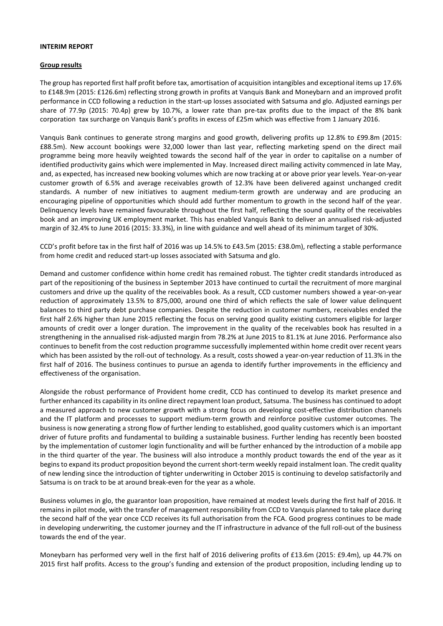#### **INTERIM REPORT**

#### **Group results**

The group has reported first half profit before tax, amortisation of acquisition intangibles and exceptional items up 17.6% to £148.9m (2015: £126.6m) reflecting strong growth in profits at Vanquis Bank and Moneybarn and an improved profit performance in CCD following a reduction in the start-up losses associated with Satsuma and glo. Adjusted earnings per share of 77.9p (2015: 70.4p) grew by 10.7%, a lower rate than pre-tax profits due to the impact of the 8% bank corporation tax surcharge on Vanquis Bank's profits in excess of £25m which was effective from 1 January 2016.

Vanquis Bank continues to generate strong margins and good growth, delivering profits up 12.8% to £99.8m (2015: £88.5m). New account bookings were 32,000 lower than last year, reflecting marketing spend on the direct mail programme being more heavily weighted towards the second half of the year in order to capitalise on a number of identified productivity gains which were implemented in May. Increased direct mailing activity commenced in late May, and, as expected, has increased new booking volumes which are now tracking at or above prior year levels. Year-on-year customer growth of 6.5% and average receivables growth of 12.3% have been delivered against unchanged credit standards. A number of new initiatives to augment medium-term growth are underway and are producing an encouraging pipeline of opportunities which should add further momentum to growth in the second half of the year. Delinquency levels have remained favourable throughout the first half, reflecting the sound quality of the receivables book and an improving UK employment market. This has enabled Vanquis Bank to deliver an annualised risk-adjusted margin of 32.4% to June 2016 (2015: 33.3%), in line with guidance and well ahead of its minimum target of 30%.

CCD's profit before tax in the first half of 2016 was up 14.5% to £43.5m (2015: £38.0m), reflecting a stable performance from home credit and reduced start-up losses associated with Satsuma and glo.

Demand and customer confidence within home credit has remained robust. The tighter credit standards introduced as part of the repositioning of the business in September 2013 have continued to curtail the recruitment of more marginal customers and drive up the quality of the receivables book. As a result, CCD customer numbers showed a year-on-year reduction of approximately 13.5% to 875,000, around one third of which reflects the sale of lower value delinquent balances to third party debt purchase companies. Despite the reduction in customer numbers, receivables ended the first half 2.6% higher than June 2015 reflecting the focus on serving good quality existing customers eligible for larger amounts of credit over a longer duration. The improvement in the quality of the receivables book has resulted in a strengthening in the annualised risk-adjusted margin from 78.2% at June 2015 to 81.1% at June 2016. Performance also continues to benefit from the cost reduction programme successfully implemented within home credit over recent years which has been assisted by the roll-out of technology. As a result, costs showed a year-on-year reduction of 11.3% in the first half of 2016. The business continues to pursue an agenda to identify further improvements in the efficiency and effectiveness of the organisation.

Alongside the robust performance of Provident home credit, CCD has continued to develop its market presence and further enhanced its capability in its online direct repayment loan product, Satsuma. The business has continued to adopt a measured approach to new customer growth with a strong focus on developing cost-effective distribution channels and the IT platform and processes to support medium-term growth and reinforce positive customer outcomes. The business is now generating a strong flow of further lending to established, good quality customers which is an important driver of future profits and fundamental to building a sustainable business. Further lending has recently been boosted by the implementation of customer login functionality and will be further enhanced by the introduction of a mobile app in the third quarter of the year. The business will also introduce a monthly product towards the end of the year as it begins to expand its product proposition beyond the current short-term weekly repaid instalment loan. The credit quality of new lending since the introduction of tighter underwriting in October 2015 is continuing to develop satisfactorily and Satsuma is on track to be at around break-even for the year as a whole.

Business volumes in glo, the guarantor loan proposition, have remained at modest levels during the first half of 2016. It remains in pilot mode, with the transfer of management responsibility from CCD to Vanquis planned to take place during the second half of the year once CCD receives its full authorisation from the FCA. Good progress continues to be made in developing underwriting, the customer journey and the IT infrastructure in advance of the full roll-out of the business towards the end of the year.

Moneybarn has performed very well in the first half of 2016 delivering profits of £13.6m (2015: £9.4m), up 44.7% on 2015 first half profits. Access to the group's funding and extension of the product proposition, including lending up to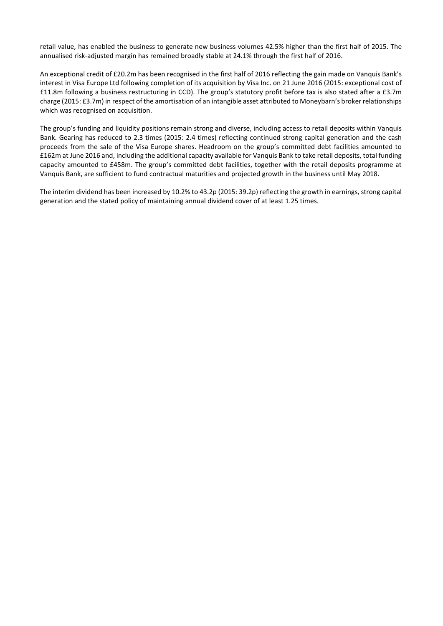retail value, has enabled the business to generate new business volumes 42.5% higher than the first half of 2015. The annualised risk-adjusted margin has remained broadly stable at 24.1% through the first half of 2016.

An exceptional credit of £20.2m has been recognised in the first half of 2016 reflecting the gain made on Vanquis Bank's interest in Visa Europe Ltd following completion of its acquisition by Visa Inc. on 21 June 2016 (2015: exceptional cost of £11.8m following a business restructuring in CCD). The group's statutory profit before tax is also stated after a £3.7m charge (2015: £3.7m) in respect of the amortisation of an intangible asset attributed to Moneybarn's broker relationships which was recognised on acquisition.

The group's funding and liquidity positions remain strong and diverse, including access to retail deposits within Vanquis Bank. Gearing has reduced to 2.3 times (2015: 2.4 times) reflecting continued strong capital generation and the cash proceeds from the sale of the Visa Europe shares. Headroom on the group's committed debt facilities amounted to £162m at June 2016 and, including the additional capacity available for Vanquis Bank to take retail deposits, total funding capacity amounted to £458m. The group's committed debt facilities, together with the retail deposits programme at Vanquis Bank, are sufficient to fund contractual maturities and projected growth in the business until May 2018.

The interim dividend has been increased by 10.2% to 43.2p (2015: 39.2p) reflecting the growth in earnings, strong capital generation and the stated policy of maintaining annual dividend cover of at least 1.25 times.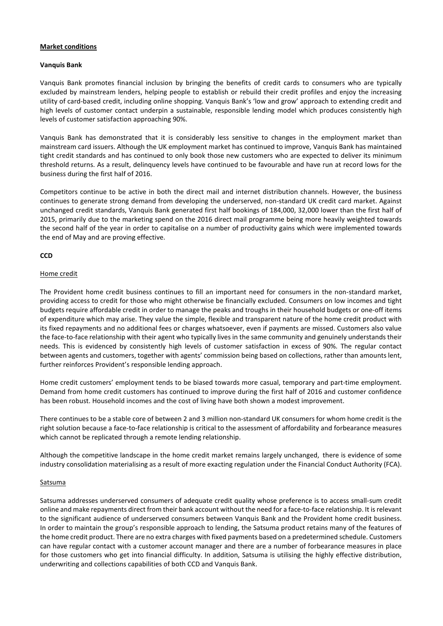#### **Market conditions**

#### **Vanquis Bank**

Vanquis Bank promotes financial inclusion by bringing the benefits of credit cards to consumers who are typically excluded by mainstream lenders, helping people to establish or rebuild their credit profiles and enjoy the increasing utility of card-based credit, including online shopping. Vanquis Bank's 'low and grow' approach to extending credit and high levels of customer contact underpin a sustainable, responsible lending model which produces consistently high levels of customer satisfaction approaching 90%.

Vanquis Bank has demonstrated that it is considerably less sensitive to changes in the employment market than mainstream card issuers. Although the UK employment market has continued to improve, Vanquis Bank has maintained tight credit standards and has continued to only book those new customers who are expected to deliver its minimum threshold returns. As a result, delinquency levels have continued to be favourable and have run at record lows for the business during the first half of 2016.

Competitors continue to be active in both the direct mail and internet distribution channels. However, the business continues to generate strong demand from developing the underserved, non-standard UK credit card market. Against unchanged credit standards, Vanquis Bank generated first half bookings of 184,000, 32,000 lower than the first half of 2015, primarily due to the marketing spend on the 2016 direct mail programme being more heavily weighted towards the second half of the year in order to capitalise on a number of productivity gains which were implemented towards the end of May and are proving effective.

# **CCD**

#### Home credit

The Provident home credit business continues to fill an important need for consumers in the non-standard market, providing access to credit for those who might otherwise be financially excluded. Consumers on low incomes and tight budgets require affordable credit in order to manage the peaks and troughs in their household budgets or one-off items of expenditure which may arise. They value the simple, flexible and transparent nature of the home credit product with its fixed repayments and no additional fees or charges whatsoever, even if payments are missed. Customers also value the face-to-face relationship with their agent who typically lives in the same community and genuinely understands their needs. This is evidenced by consistently high levels of customer satisfaction in excess of 90%. The regular contact between agents and customers, together with agents' commission being based on collections, rather than amounts lent, further reinforces Provident's responsible lending approach.

Home credit customers' employment tends to be biased towards more casual, temporary and part-time employment. Demand from home credit customers has continued to improve during the first half of 2016 and customer confidence has been robust. Household incomes and the cost of living have both shown a modest improvement.

There continues to be a stable core of between 2 and 3 million non-standard UK consumers for whom home credit is the right solution because a face-to-face relationship is critical to the assessment of affordability and forbearance measures which cannot be replicated through a remote lending relationship.

Although the competitive landscape in the home credit market remains largely unchanged, there is evidence of some industry consolidation materialising as a result of more exacting regulation under the Financial Conduct Authority (FCA).

#### **Satsuma**

Satsuma addresses underserved consumers of adequate credit quality whose preference is to access small-sum credit online and make repayments direct from their bank account without the need for a face-to-face relationship. It is relevant to the significant audience of underserved consumers between Vanquis Bank and the Provident home credit business. In order to maintain the group's responsible approach to lending, the Satsuma product retains many of the features of the home credit product. There are no extra charges with fixed payments based on a predetermined schedule. Customers can have regular contact with a customer account manager and there are a number of forbearance measures in place for those customers who get into financial difficulty. In addition, Satsuma is utilising the highly effective distribution, underwriting and collections capabilities of both CCD and Vanquis Bank.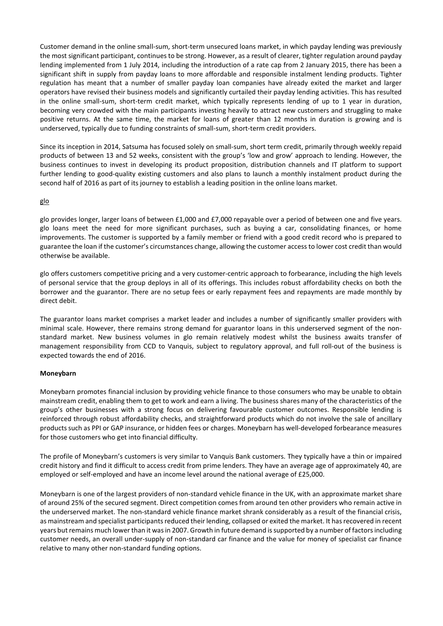Customer demand in the online small-sum, short-term unsecured loans market, in which payday lending was previously the most significant participant, continues to be strong. However, as a result of clearer, tighter regulation around payday lending implemented from 1 July 2014, including the introduction of a rate cap from 2 January 2015, there has been a significant shift in supply from payday loans to more affordable and responsible instalment lending products. Tighter regulation has meant that a number of smaller payday loan companies have already exited the market and larger operators have revised their business models and significantly curtailed their payday lending activities. This has resulted in the online small-sum, short-term credit market, which typically represents lending of up to 1 year in duration, becoming very crowded with the main participants investing heavily to attract new customers and struggling to make positive returns. At the same time, the market for loans of greater than 12 months in duration is growing and is underserved, typically due to funding constraints of small-sum, short-term credit providers.

Since its inception in 2014, Satsuma has focused solely on small-sum, short term credit, primarily through weekly repaid products of between 13 and 52 weeks, consistent with the group's 'low and grow' approach to lending. However, the business continues to invest in developing its product proposition, distribution channels and IT platform to support further lending to good-quality existing customers and also plans to launch a monthly instalment product during the second half of 2016 as part of its journey to establish a leading position in the online loans market.

#### glo

glo provides longer, larger loans of between £1,000 and £7,000 repayable over a period of between one and five years. glo loans meet the need for more significant purchases, such as buying a car, consolidating finances, or home improvements. The customer is supported by a family member or friend with a good credit record who is prepared to guarantee the loan if the customer's circumstances change, allowing the customer access to lower cost credit than would otherwise be available.

glo offers customers competitive pricing and a very customer-centric approach to forbearance, including the high levels of personal service that the group deploys in all of its offerings. This includes robust affordability checks on both the borrower and the guarantor. There are no setup fees or early repayment fees and repayments are made monthly by direct debit.

The guarantor loans market comprises a market leader and includes a number of significantly smaller providers with minimal scale. However, there remains strong demand for guarantor loans in this underserved segment of the nonstandard market. New business volumes in glo remain relatively modest whilst the business awaits transfer of management responsibility from CCD to Vanquis, subject to regulatory approval, and full roll-out of the business is expected towards the end of 2016.

# **Moneybarn**

Moneybarn promotes financial inclusion by providing vehicle finance to those consumers who may be unable to obtain mainstream credit, enabling them to get to work and earn a living. The business shares many of the characteristics of the group's other businesses with a strong focus on delivering favourable customer outcomes. Responsible lending is reinforced through robust affordability checks, and straightforward products which do not involve the sale of ancillary products such as PPI or GAP insurance, or hidden fees or charges. Moneybarn has well-developed forbearance measures for those customers who get into financial difficulty.

The profile of Moneybarn's customers is very similar to Vanquis Bank customers. They typically have a thin or impaired credit history and find it difficult to access credit from prime lenders. They have an average age of approximately 40, are employed or self-employed and have an income level around the national average of £25,000.

Moneybarn is one of the largest providers of non-standard vehicle finance in the UK, with an approximate market share of around 25% of the secured segment. Direct competition comes from around ten other providers who remain active in the underserved market. The non-standard vehicle finance market shrank considerably as a result of the financial crisis, as mainstream and specialist participants reduced their lending, collapsed or exited the market. It has recovered in recent years but remains much lower than it was in 2007. Growth in future demand is supported by a number of factors including customer needs, an overall under-supply of non-standard car finance and the value for money of specialist car finance relative to many other non-standard funding options.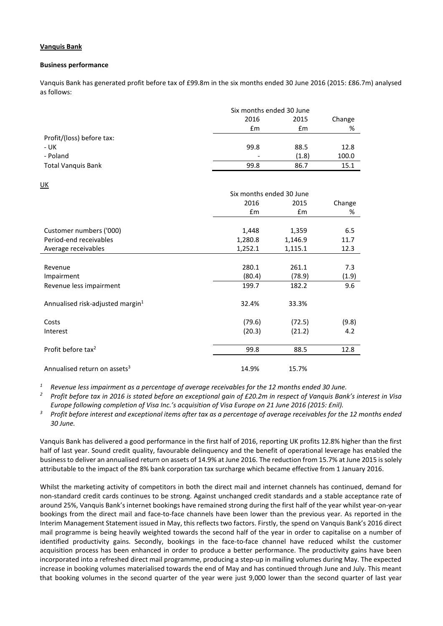# **Vanquis Bank**

## **Business performance**

Vanquis Bank has generated profit before tax of £99.8m in the six months ended 30 June 2016 (2015: £86.7m) analysed as follows:

|                           | Six months ended 30 June |       |        |
|---------------------------|--------------------------|-------|--------|
|                           | 2016<br>2015             |       | Change |
|                           | £m                       | £m    | %      |
| Profit/(loss) before tax: |                          |       |        |
| - UK                      | 99.8                     | 88.5  | 12.8   |
| - Poland                  | $\overline{\phantom{a}}$ | (1.8) | 100.0  |
| <b>Total Vanquis Bank</b> | 99.8                     | 86.7  | 15.1   |

UK

| <u></u>                                      |                          |         |        |
|----------------------------------------------|--------------------------|---------|--------|
|                                              | Six months ended 30 June |         |        |
|                                              | 2016                     | 2015    | Change |
|                                              | £m                       | £m      | %      |
|                                              |                          |         |        |
| Customer numbers ('000)                      | 1,448                    | 1,359   | 6.5    |
| Period-end receivables                       | 1,280.8                  | 1,146.9 | 11.7   |
| Average receivables                          | 1,252.1                  | 1,115.1 | 12.3   |
|                                              |                          |         |        |
| Revenue                                      | 280.1                    | 261.1   | 7.3    |
| Impairment                                   | (80.4)                   | (78.9)  | (1.9)  |
| Revenue less impairment                      | 199.7                    | 182.2   | 9.6    |
| Annualised risk-adjusted margin <sup>1</sup> | 32.4%                    | 33.3%   |        |
| Costs                                        | (79.6)                   | (72.5)  | (9.8)  |
| Interest                                     | (20.3)                   | (21.2)  | 4.2    |
| Profit before tax <sup>2</sup>               | 99.8                     | 88.5    | 12.8   |
| Annualised return on assets <sup>3</sup>     | 14.9%                    | 15.7%   |        |

*<sup>1</sup> Revenue less impairment as a percentage of average receivables for the 12 months ended 30 June.*

*<sup>2</sup> Profit before tax in 2016 is stated before an exceptional gain of £20.2m in respect of Vanquis Bank's interest in Visa Europe following completion of Visa Inc.'s acquisition of Visa Europe on 21 June 2016 (2015: £nil).*

*<sup>3</sup> Profit before interest and exceptional items after tax as a percentage of average receivables for the 12 months ended 30 June.*

Vanquis Bank has delivered a good performance in the first half of 2016, reporting UK profits 12.8% higher than the first half of last year. Sound credit quality, favourable delinquency and the benefit of operational leverage has enabled the business to deliver an annualised return on assets of 14.9% at June 2016. The reduction from 15.7% at June 2015 is solely attributable to the impact of the 8% bank corporation tax surcharge which became effective from 1 January 2016.

Whilst the marketing activity of competitors in both the direct mail and internet channels has continued, demand for non-standard credit cards continues to be strong. Against unchanged credit standards and a stable acceptance rate of around 25%, Vanquis Bank's internet bookings have remained strong during the first half of the year whilst year-on-year bookings from the direct mail and face-to-face channels have been lower than the previous year. As reported in the Interim Management Statement issued in May, this reflects two factors. Firstly, the spend on Vanquis Bank's 2016 direct mail programme is being heavily weighted towards the second half of the year in order to capitalise on a number of identified productivity gains. Secondly, bookings in the face-to-face channel have reduced whilst the customer acquisition process has been enhanced in order to produce a better performance. The productivity gains have been incorporated into a refreshed direct mail programme, producing a step-up in mailing volumes during May. The expected increase in booking volumes materialised towards the end of May and has continued through June and July. This meant that booking volumes in the second quarter of the year were just 9,000 lower than the second quarter of last year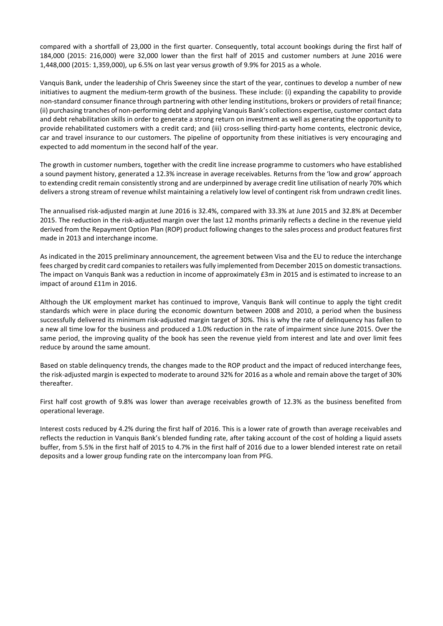compared with a shortfall of 23,000 in the first quarter. Consequently, total account bookings during the first half of 184,000 (2015: 216,000) were 32,000 lower than the first half of 2015 and customer numbers at June 2016 were 1,448,000 (2015: 1,359,000), up 6.5% on last year versus growth of 9.9% for 2015 as a whole.

Vanquis Bank, under the leadership of Chris Sweeney since the start of the year, continues to develop a number of new initiatives to augment the medium-term growth of the business. These include: (i) expanding the capability to provide non-standard consumer finance through partnering with other lending institutions, brokers or providers of retail finance; (ii) purchasing tranches of non-performing debt and applying Vanquis Bank's collections expertise, customer contact data and debt rehabilitation skills in order to generate a strong return on investment as well as generating the opportunity to provide rehabilitated customers with a credit card; and (iii) cross-selling third-party home contents, electronic device, car and travel insurance to our customers. The pipeline of opportunity from these initiatives is very encouraging and expected to add momentum in the second half of the year.

The growth in customer numbers, together with the credit line increase programme to customers who have established a sound payment history, generated a 12.3% increase in average receivables. Returns from the 'low and grow' approach to extending credit remain consistently strong and are underpinned by average credit line utilisation of nearly 70% which delivers a strong stream of revenue whilst maintaining a relatively low level of contingent risk from undrawn credit lines.

The annualised risk-adjusted margin at June 2016 is 32.4%, compared with 33.3% at June 2015 and 32.8% at December 2015. The reduction in the risk-adjusted margin over the last 12 months primarily reflects a decline in the revenue yield derived from the Repayment Option Plan (ROP) product following changes to the sales process and product features first made in 2013 and interchange income.

As indicated in the 2015 preliminary announcement, the agreement between Visa and the EU to reduce the interchange fees charged by credit card companies to retailers was fully implemented from December 2015 on domestic transactions. The impact on Vanquis Bank was a reduction in income of approximately £3m in 2015 and is estimated to increase to an impact of around £11m in 2016.

Although the UK employment market has continued to improve, Vanquis Bank will continue to apply the tight credit standards which were in place during the economic downturn between 2008 and 2010, a period when the business successfully delivered its minimum risk-adjusted margin target of 30%. This is why the rate of delinquency has fallen to a new all time low for the business and produced a 1.0% reduction in the rate of impairment since June 2015. Over the same period, the improving quality of the book has seen the revenue yield from interest and late and over limit fees reduce by around the same amount.

Based on stable delinquency trends, the changes made to the ROP product and the impact of reduced interchange fees, the risk-adjusted margin is expected to moderate to around 32% for 2016 as a whole and remain above the target of 30% thereafter.

First half cost growth of 9.8% was lower than average receivables growth of 12.3% as the business benefited from operational leverage.

Interest costs reduced by 4.2% during the first half of 2016. This is a lower rate of growth than average receivables and reflects the reduction in Vanquis Bank's blended funding rate, after taking account of the cost of holding a liquid assets buffer, from 5.5% in the first half of 2015 to 4.7% in the first half of 2016 due to a lower blended interest rate on retail deposits and a lower group funding rate on the intercompany loan from PFG.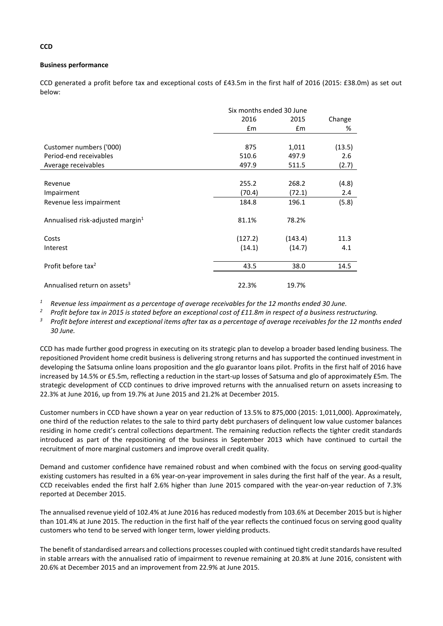# **Business performance**

CCD generated a profit before tax and exceptional costs of £43.5m in the first half of 2016 (2015: £38.0m) as set out below:

|         |                       | Change                                            |
|---------|-----------------------|---------------------------------------------------|
|         |                       | %                                                 |
|         |                       |                                                   |
| 875     | 1,011                 | (13.5)                                            |
| 510.6   | 497.9                 | 2.6                                               |
| 497.9   | 511.5                 | (2.7)                                             |
|         |                       |                                                   |
| 255.2   | 268.2                 | (4.8)                                             |
| (70.4)  | (72.1)                | 2.4                                               |
| 184.8   | 196.1                 | (5.8)                                             |
| 81.1%   | 78.2%                 |                                                   |
| (127.2) | (143.4)               | 11.3                                              |
| (14.1)  | (14.7)                | 4.1                                               |
| 43.5    | 38.0                  | 14.5                                              |
| 22.3%   | 19.7%                 |                                                   |
|         | 2016<br>$\mathsf{fm}$ | Six months ended 30 June<br>2015<br>$\mathsf{fm}$ |

*<sup>1</sup> Revenue less impairment as a percentage of average receivables for the 12 months ended 30 June.*

*<sup>2</sup> Profit before tax in 2015 is stated before an exceptional cost of £11.8m in respect of a business restructuring.*

*<sup>3</sup> Profit before interest and exceptional items after tax as a percentage of average receivables for the 12 months ended 30 June.*

CCD has made further good progress in executing on its strategic plan to develop a broader based lending business. The repositioned Provident home credit business is delivering strong returns and has supported the continued investment in developing the Satsuma online loans proposition and the glo guarantor loans pilot. Profits in the first half of 2016 have increased by 14.5% or £5.5m, reflecting a reduction in the start-up losses of Satsuma and glo of approximately £5m. The strategic development of CCD continues to drive improved returns with the annualised return on assets increasing to 22.3% at June 2016, up from 19.7% at June 2015 and 21.2% at December 2015.

Customer numbers in CCD have shown a year on year reduction of 13.5% to 875,000 (2015: 1,011,000). Approximately, one third of the reduction relates to the sale to third party debt purchasers of delinquent low value customer balances residing in home credit's central collections department. The remaining reduction reflects the tighter credit standards introduced as part of the repositioning of the business in September 2013 which have continued to curtail the recruitment of more marginal customers and improve overall credit quality.

Demand and customer confidence have remained robust and when combined with the focus on serving good-quality existing customers has resulted in a 6% year-on-year improvement in sales during the first half of the year. As a result, CCD receivables ended the first half 2.6% higher than June 2015 compared with the year-on-year reduction of 7.3% reported at December 2015.

The annualised revenue yield of 102.4% at June 2016 has reduced modestly from 103.6% at December 2015 but is higher than 101.4% at June 2015. The reduction in the first half of the year reflects the continued focus on serving good quality customers who tend to be served with longer term, lower yielding products.

The benefit of standardised arrears and collections processes coupled with continued tight credit standards have resulted in stable arrears with the annualised ratio of impairment to revenue remaining at 20.8% at June 2016, consistent with 20.6% at December 2015 and an improvement from 22.9% at June 2015.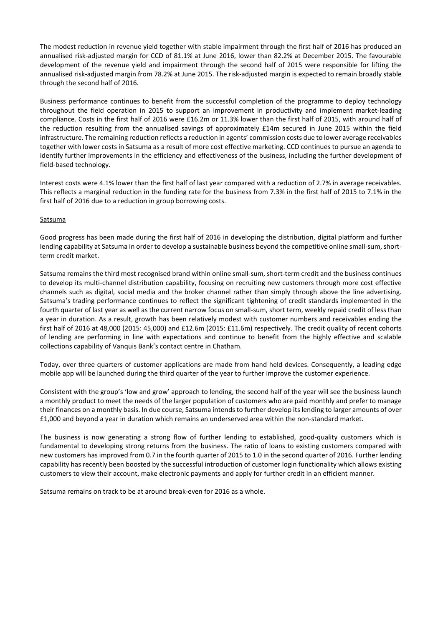The modest reduction in revenue yield together with stable impairment through the first half of 2016 has produced an annualised risk-adjusted margin for CCD of 81.1% at June 2016, lower than 82.2% at December 2015. The favourable development of the revenue yield and impairment through the second half of 2015 were responsible for lifting the annualised risk-adjusted margin from 78.2% at June 2015. The risk-adjusted margin is expected to remain broadly stable through the second half of 2016.

Business performance continues to benefit from the successful completion of the programme to deploy technology throughout the field operation in 2015 to support an improvement in productivity and implement market-leading compliance. Costs in the first half of 2016 were £16.2m or 11.3% lower than the first half of 2015, with around half of the reduction resulting from the annualised savings of approximately £14m secured in June 2015 within the field infrastructure. The remaining reduction reflects a reduction in agents' commission costs due to lower average receivables together with lower costs in Satsuma as a result of more cost effective marketing. CCD continues to pursue an agenda to identify further improvements in the efficiency and effectiveness of the business, including the further development of field-based technology.

Interest costs were 4.1% lower than the first half of last year compared with a reduction of 2.7% in average receivables. This reflects a marginal reduction in the funding rate for the business from 7.3% in the first half of 2015 to 7.1% in the first half of 2016 due to a reduction in group borrowing costs.

#### **Satsuma**

Good progress has been made during the first half of 2016 in developing the distribution, digital platform and further lending capability at Satsuma in order to develop a sustainable business beyond the competitive online small-sum, shortterm credit market.

Satsuma remains the third most recognised brand within online small-sum, short-term credit and the business continues to develop its multi-channel distribution capability, focusing on recruiting new customers through more cost effective channels such as digital, social media and the broker channel rather than simply through above the line advertising. Satsuma's trading performance continues to reflect the significant tightening of credit standards implemented in the fourth quarter of last year as well as the current narrow focus on small-sum, short term, weekly repaid credit of less than a year in duration. As a result, growth has been relatively modest with customer numbers and receivables ending the first half of 2016 at 48,000 (2015: 45,000) and £12.6m (2015: £11.6m) respectively. The credit quality of recent cohorts of lending are performing in line with expectations and continue to benefit from the highly effective and scalable collections capability of Vanquis Bank's contact centre in Chatham.

Today, over three quarters of customer applications are made from hand held devices. Consequently, a leading edge mobile app will be launched during the third quarter of the year to further improve the customer experience.

Consistent with the group's 'low and grow' approach to lending, the second half of the year will see the business launch a monthly product to meet the needs of the larger population of customers who are paid monthly and prefer to manage their finances on a monthly basis. In due course, Satsuma intendsto further develop itslending to larger amounts of over £1,000 and beyond a year in duration which remains an underserved area within the non-standard market.

The business is now generating a strong flow of further lending to established, good-quality customers which is fundamental to developing strong returns from the business. The ratio of loans to existing customers compared with new customers has improved from 0.7 in the fourth quarter of 2015 to 1.0 in the second quarter of 2016. Further lending capability has recently been boosted by the successful introduction of customer login functionality which allows existing customers to view their account, make electronic payments and apply for further credit in an efficient manner.

Satsuma remains on track to be at around break-even for 2016 as a whole.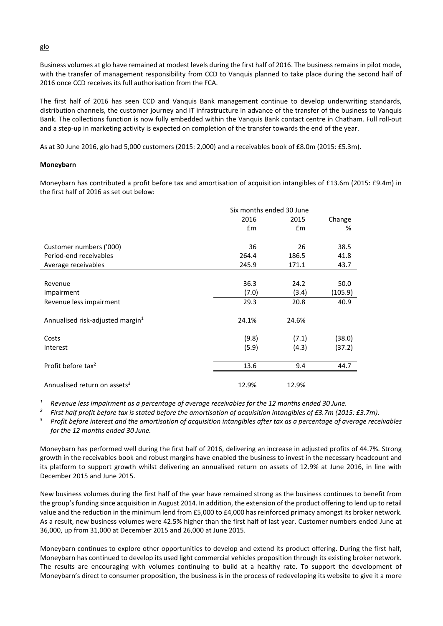Business volumes at glo have remained at modest levels during the first half of 2016. The business remains in pilot mode, with the transfer of management responsibility from CCD to Vanquis planned to take place during the second half of 2016 once CCD receives its full authorisation from the FCA.

The first half of 2016 has seen CCD and Vanquis Bank management continue to develop underwriting standards, distribution channels, the customer journey and IT infrastructure in advance of the transfer of the business to Vanquis Bank. The collections function is now fully embedded within the Vanquis Bank contact centre in Chatham. Full roll-out and a step-up in marketing activity is expected on completion of the transfer towards the end of the year.

As at 30 June 2016, glo had 5,000 customers (2015: 2,000) and a receivables book of £8.0m (2015: £5.3m).

#### **Moneybarn**

Moneybarn has contributed a profit before tax and amortisation of acquisition intangibles of £13.6m (2015: £9.4m) in the first half of 2016 as set out below:

|                                              | Six months ended 30 June |               |         |
|----------------------------------------------|--------------------------|---------------|---------|
|                                              | 2016                     | 2015          | Change  |
|                                              | Em                       | $\mathsf{fm}$ | %       |
|                                              |                          |               |         |
| Customer numbers ('000)                      | 36                       | 26            | 38.5    |
| Period-end receivables                       | 264.4                    | 186.5         | 41.8    |
| Average receivables                          | 245.9                    | 171.1         | 43.7    |
|                                              |                          |               |         |
| Revenue                                      | 36.3                     | 24.2          | 50.0    |
| Impairment                                   | (7.0)                    | (3.4)         | (105.9) |
| Revenue less impairment                      | 29.3                     | 20.8          | 40.9    |
| Annualised risk-adjusted margin <sup>1</sup> | 24.1%                    | 24.6%         |         |
| Costs                                        | (9.8)                    | (7.1)         | (38.0)  |
| Interest                                     | (5.9)                    | (4.3)         | (37.2)  |
| Profit before tax <sup>2</sup>               | 13.6                     | 9.4           | 44.7    |
| Annualised return on assets <sup>3</sup>     | 12.9%                    | 12.9%         |         |

*<sup>1</sup> Revenue less impairment as a percentage of average receivables for the 12 months ended 30 June.*

*<sup>2</sup> First half profit before tax is stated before the amortisation of acquisition intangibles of £3.7m (2015: £3.7m).*

*<sup>3</sup> Profit before interest and the amortisation of acquisition intangibles after tax as a percentage of average receivables for the 12 months ended 30 June.*

Moneybarn has performed well during the first half of 2016, delivering an increase in adjusted profits of 44.7%. Strong growth in the receivables book and robust margins have enabled the business to invest in the necessary headcount and its platform to support growth whilst delivering an annualised return on assets of 12.9% at June 2016, in line with December 2015 and June 2015.

New business volumes during the first half of the year have remained strong as the business continues to benefit from the group's funding since acquisition in August 2014. In addition, the extension of the product offering to lend up to retail value and the reduction in the minimum lend from £5,000 to £4,000 has reinforced primacy amongst its broker network. As a result, new business volumes were 42.5% higher than the first half of last year. Customer numbers ended June at 36,000, up from 31,000 at December 2015 and 26,000 at June 2015.

Moneybarn continues to explore other opportunities to develop and extend its product offering. During the first half, Moneybarn has continued to develop its used light commercial vehicles proposition through its existing broker network. The results are encouraging with volumes continuing to build at a healthy rate. To support the development of Moneybarn's direct to consumer proposition, the business is in the process of redeveloping its website to give it a more

glo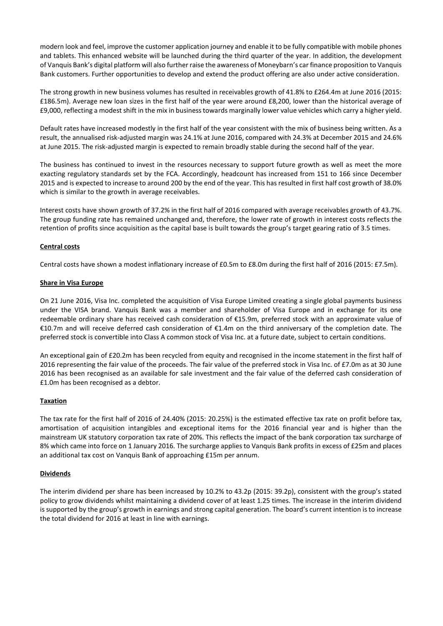modern look and feel, improve the customer application journey and enable it to be fully compatible with mobile phones and tablets. This enhanced website will be launched during the third quarter of the year. In addition, the development of Vanquis Bank's digital platform will also further raise the awareness of Moneybarn's car finance proposition to Vanquis Bank customers. Further opportunities to develop and extend the product offering are also under active consideration.

The strong growth in new business volumes has resulted in receivables growth of 41.8% to £264.4m at June 2016 (2015: £186.5m). Average new loan sizes in the first half of the year were around £8,200, lower than the historical average of £9,000, reflecting a modest shift in the mix in business towards marginally lower value vehicles which carry a higher yield.

Default rates have increased modestly in the first half of the year consistent with the mix of business being written. As a result, the annualised risk-adjusted margin was 24.1% at June 2016, compared with 24.3% at December 2015 and 24.6% at June 2015. The risk-adjusted margin is expected to remain broadly stable during the second half of the year.

The business has continued to invest in the resources necessary to support future growth as well as meet the more exacting regulatory standards set by the FCA. Accordingly, headcount has increased from 151 to 166 since December 2015 and is expected to increase to around 200 by the end of the year. This has resulted in first half cost growth of 38.0% which is similar to the growth in average receivables.

Interest costs have shown growth of 37.2% in the first half of 2016 compared with average receivables growth of 43.7%. The group funding rate has remained unchanged and, therefore, the lower rate of growth in interest costs reflects the retention of profits since acquisition as the capital base is built towards the group's target gearing ratio of 3.5 times.

# **Central costs**

Central costs have shown a modest inflationary increase of £0.5m to £8.0m during the first half of 2016 (2015: £7.5m).

#### **Share in Visa Europe**

On 21 June 2016, Visa Inc. completed the acquisition of Visa Europe Limited creating a single global payments business under the VISA brand. Vanquis Bank was a member and shareholder of Visa Europe and in exchange for its one redeemable ordinary share has received cash consideration of €15.9m, preferred stock with an approximate value of €10.7m and will receive deferred cash consideration of €1.4m on the third anniversary of the completion date. The preferred stock is convertible into Class A common stock of Visa Inc. at a future date, subject to certain conditions.

An exceptional gain of £20.2m has been recycled from equity and recognised in the income statement in the first half of 2016 representing the fair value of the proceeds. The fair value of the preferred stock in Visa Inc. of £7.0m as at 30 June 2016 has been recognised as an available for sale investment and the fair value of the deferred cash consideration of £1.0m has been recognised as a debtor.

# **Taxation**

The tax rate for the first half of 2016 of 24.40% (2015: 20.25%) is the estimated effective tax rate on profit before tax, amortisation of acquisition intangibles and exceptional items for the 2016 financial year and is higher than the mainstream UK statutory corporation tax rate of 20%. This reflects the impact of the bank corporation tax surcharge of 8% which came into force on 1 January 2016. The surcharge applies to Vanquis Bank profits in excess of £25m and places an additional tax cost on Vanquis Bank of approaching £15m per annum.

# **Dividends**

The interim dividend per share has been increased by 10.2% to 43.2p (2015: 39.2p), consistent with the group's stated policy to grow dividends whilst maintaining a dividend cover of at least 1.25 times. The increase in the interim dividend is supported by the group's growth in earnings and strong capital generation. The board's current intention is to increase the total dividend for 2016 at least in line with earnings.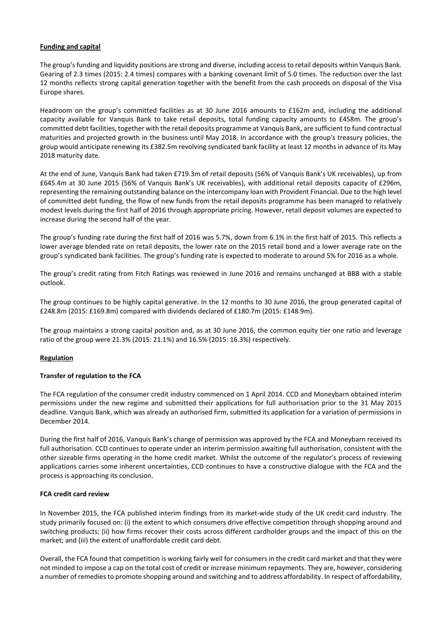# **Funding and capital**

The group's funding and liquidity positions are strong and diverse, including access to retail deposits within Vanquis Bank. Gearing of 2.3 times (2015: 2.4 times) compares with a banking covenant limit of 5.0 times. The reduction over the last 12 months reflects strong capital generation together with the benefit from the cash proceeds on disposal of the Visa Europe shares.

Headroom on the group's committed facilities as at 30 June 2016 amounts to £162m and, including the additional capacity available for Vanquis Bank to take retail deposits, total funding capacity amounts to £458m. The group's committed debt facilities, together with the retail deposits programme at Vanquis Bank, are sufficient to fund contractual maturities and projected growth in the business until May 2018. In accordance with the group's treasury policies, the group would anticipate renewing its £382.5m revolving syndicated bank facility at least 12 months in advance of its May 2018 maturity date.

At the end of June, Vanquis Bank had taken £719.3m of retail deposits (56% of Vanquis Bank's UK receivables), up from £645.4m at 30 June 2015 (56% of Vanquis Bank's UK receivables), with additional retail deposits capacity of £296m, representing the remaining outstanding balance on the intercompany loan with Provident Financial. Due to the high level of committed debt funding, the flow of new funds from the retail deposits programme has been managed to relatively modest levels during the first half of 2016 through appropriate pricing. However, retail deposit volumes are expected to increase during the second half of the year.

The group's funding rate during the first half of 2016 was 5.7%, down from 6.1% in the first half of 2015. This reflects a lower average blended rate on retail deposits, the lower rate on the 2015 retail bond and a lower average rate on the group's syndicated bank facilities. The group's funding rate is expected to moderate to around 5% for 2016 as a whole.

The group's credit rating from Fitch Ratings was reviewed in June 2016 and remains unchanged at BBB with a stable outlook.

The group continues to be highly capital generative. In the 12 months to 30 June 2016, the group generated capital of £248.8m (2015: £169.8m) compared with dividends declared of £180.7m (2015: £148.9m).

The group maintains a strong capital position and, as at 30 June 2016, the common equity tier one ratio and leverage ratio of the group were 21.3% (2015: 21.1%) and 16.5% (2015: 16.3%) respectively.

# **Regulation**

# **Transfer of regulation to the FCA**

The FCA regulation of the consumer credit industry commenced on 1 April 2014. CCD and Moneybarn obtained interim permissions under the new regime and submitted their applications for full authorisation prior to the 31 May 2015 deadline. Vanquis Bank, which was already an authorised firm, submitted its application for a variation of permissions in December 2014.

During the first half of 2016, Vanquis Bank's change of permission was approved by the FCA and Moneybarn received its full authorisation. CCD continues to operate under an interim permission awaiting full authorisation, consistent with the other sizeable firms operating in the home credit market. Whilst the outcome of the regulator's process of reviewing applications carries some inherent uncertainties, CCD continues to have a constructive dialogue with the FCA and the process is approaching its conclusion.

# **FCA credit card review**

In November 2015, the FCA published interim findings from its market-wide study of the UK credit card industry. The study primarily focused on: (i) the extent to which consumers drive effective competition through shopping around and switching products; (ii) how firms recover their costs across different cardholder groups and the impact of this on the market; and (iii) the extent of unaffordable credit card debt.

Overall, the FCA found that competition is working fairly well for consumers in the credit card market and that they were not minded to impose a cap on the total cost of credit or increase minimum repayments. They are, however, considering a number of remedies to promote shopping around and switching and to address affordability. In respect of affordability,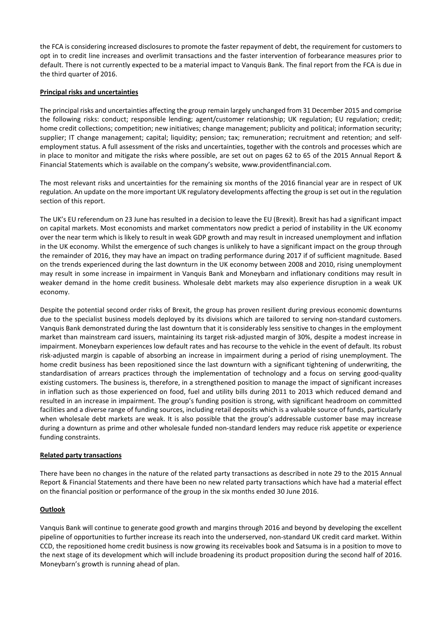the FCA is considering increased disclosures to promote the faster repayment of debt, the requirement for customers to opt in to credit line increases and overlimit transactions and the faster intervention of forbearance measures prior to default. There is not currently expected to be a material impact to Vanquis Bank. The final report from the FCA is due in the third quarter of 2016.

# **Principal risks and uncertainties**

The principal risks and uncertainties affecting the group remain largely unchanged from 31 December 2015 and comprise the following risks: conduct; responsible lending; agent/customer relationship; UK regulation; EU regulation; credit; home credit collections; competition; new initiatives; change management; publicity and political; information security; supplier; IT change management; capital; liquidity; pension; tax; remuneration; recruitment and retention; and selfemployment status. A full assessment of the risks and uncertainties, together with the controls and processes which are in place to monitor and mitigate the risks where possible, are set out on pages 62 to 65 of the 2015 Annual Report & Financial Statements which is available on the company's website, www.providentfinancial.com.

The most relevant risks and uncertainties for the remaining six months of the 2016 financial year are in respect of UK regulation. An update on the more important UK regulatory developments affecting the group is set out in the regulation section of this report.

The UK's EU referendum on 23 June has resulted in a decision to leave the EU (Brexit). Brexit has had a significant impact on capital markets. Most economists and market commentators now predict a period of instability in the UK economy over the near term which is likely to result in weak GDP growth and may result in increased unemployment and inflation in the UK economy. Whilst the emergence of such changes is unlikely to have a significant impact on the group through the remainder of 2016, they may have an impact on trading performance during 2017 if of sufficient magnitude. Based on the trends experienced during the last downturn in the UK economy between 2008 and 2010, rising unemployment may result in some increase in impairment in Vanquis Bank and Moneybarn and inflationary conditions may result in weaker demand in the home credit business. Wholesale debt markets may also experience disruption in a weak UK economy.

Despite the potential second order risks of Brexit, the group has proven resilient during previous economic downturns due to the specialist business models deployed by its divisions which are tailored to serving non-standard customers. Vanquis Bank demonstrated during the last downturn that it is considerably less sensitive to changes in the employment market than mainstream card issuers, maintaining its target risk-adjusted margin of 30%, despite a modest increase in impairment. Moneybarn experiences low default rates and has recourse to the vehicle in the event of default. Its robust risk-adjusted margin is capable of absorbing an increase in impairment during a period of rising unemployment. The home credit business has been repositioned since the last downturn with a significant tightening of underwriting, the standardisation of arrears practices through the implementation of technology and a focus on serving good-quality existing customers. The business is, therefore, in a strengthened position to manage the impact of significant increases in inflation such as those experienced on food, fuel and utility bills during 2011 to 2013 which reduced demand and resulted in an increase in impairment. The group's funding position is strong, with significant headroom on committed facilities and a diverse range of funding sources, including retail deposits which is a valuable source of funds, particularly when wholesale debt markets are weak. It is also possible that the group's addressable customer base may increase during a downturn as prime and other wholesale funded non-standard lenders may reduce risk appetite or experience funding constraints.

# **Related party transactions**

There have been no changes in the nature of the related party transactions as described in note 29 to the 2015 Annual Report & Financial Statements and there have been no new related party transactions which have had a material effect on the financial position or performance of the group in the six months ended 30 June 2016.

# **Outlook**

Vanquis Bank will continue to generate good growth and margins through 2016 and beyond by developing the excellent pipeline of opportunities to further increase its reach into the underserved, non-standard UK credit card market. Within CCD, the repositioned home credit business is now growing its receivables book and Satsuma is in a position to move to the next stage of its development which will include broadening its product proposition during the second half of 2016. Moneybarn's growth is running ahead of plan.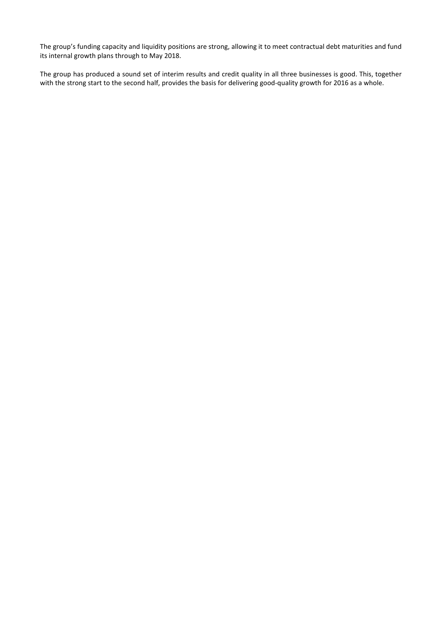The group's funding capacity and liquidity positions are strong, allowing it to meet contractual debt maturities and fund its internal growth plans through to May 2018.

The group has produced a sound set of interim results and credit quality in all three businesses is good. This, together with the strong start to the second half, provides the basis for delivering good-quality growth for 2016 as a whole.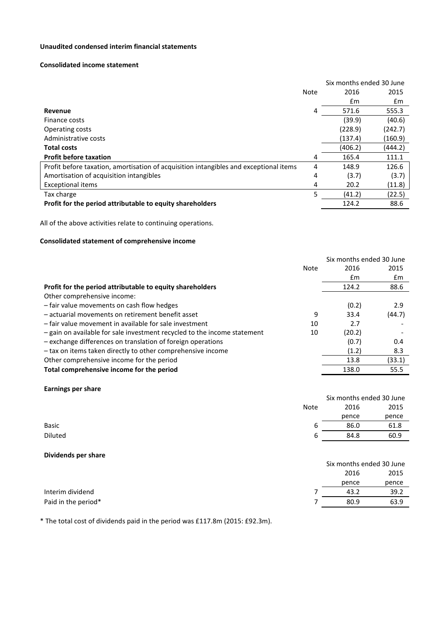# **Unaudited condensed interim financial statements**

#### **Consolidated income statement**

|                                                                                       |      | Six months ended 30 June |         |  |
|---------------------------------------------------------------------------------------|------|--------------------------|---------|--|
|                                                                                       | Note | 2016                     | 2015    |  |
|                                                                                       |      | £m                       | £m      |  |
| Revenue                                                                               | 4    | 571.6                    | 555.3   |  |
| Finance costs                                                                         |      | (39.9)                   | (40.6)  |  |
| <b>Operating costs</b>                                                                |      | (228.9)                  | (242.7) |  |
| Administrative costs                                                                  |      | (137.4)                  | (160.9) |  |
| <b>Total costs</b>                                                                    |      | (406.2)                  | (444.2) |  |
| <b>Profit before taxation</b>                                                         | 4    | 165.4                    | 111.1   |  |
| Profit before taxation, amortisation of acquisition intangibles and exceptional items | 4    | 148.9                    | 126.6   |  |
| Amortisation of acquisition intangibles                                               | 4    | (3.7)                    | (3.7)   |  |
| <b>Exceptional items</b>                                                              | 4    | 20.2                     | (11.8)  |  |
| Tax charge                                                                            | 5    | (41.2)                   | (22.5)  |  |
| Profit for the period attributable to equity shareholders                             |      | 124.2                    | 88.6    |  |

All of the above activities relate to continuing operations.

# **Consolidated statement of comprehensive income**

|                                                                          |             | Six months ended 30 June |        |
|--------------------------------------------------------------------------|-------------|--------------------------|--------|
|                                                                          | <b>Note</b> | 2016                     | 2015   |
|                                                                          |             | £m                       | £m     |
| Profit for the period attributable to equity shareholders                |             | 124.2                    | 88.6   |
| Other comprehensive income:                                              |             |                          |        |
| - fair value movements on cash flow hedges                               |             | (0.2)                    | 2.9    |
| - actuarial movements on retirement benefit asset                        | 9           | 33.4                     | (44.7) |
| - fair value movement in available for sale investment                   | 10          | 2.7                      |        |
| - gain on available for sale investment recycled to the income statement | 10          | (20.2)                   |        |
| - exchange differences on translation of foreign operations              |             | (0.7)                    | 0.4    |
| - tax on items taken directly to other comprehensive income              |             | (1.2)                    | 8.3    |
| Other comprehensive income for the period                                |             | 13.8                     | (33.1) |
| Total comprehensive income for the period                                |             | 138.0                    | 55.5   |
|                                                                          |             |                          |        |

# **Earnings per share**

|         |      | Six months ended 30 June |       |  |
|---------|------|--------------------------|-------|--|
|         | Note | 2016                     | 2015  |  |
|         |      | pence                    | pence |  |
| Basic   | b    | 86.0                     | 61.8  |  |
| Diluted | b    | 84.8                     | 60.9  |  |
|         |      |                          |       |  |

## **Dividends per share**

|                     | Six months ended 30 June |       |  |
|---------------------|--------------------------|-------|--|
|                     | 2016                     | 2015  |  |
|                     | pence                    | pence |  |
| Interim dividend    | 43.2                     | 39.2  |  |
| Paid in the period* | 80.9                     | 63.9  |  |

\* The total cost of dividends paid in the period was £117.8m (2015: £92.3m).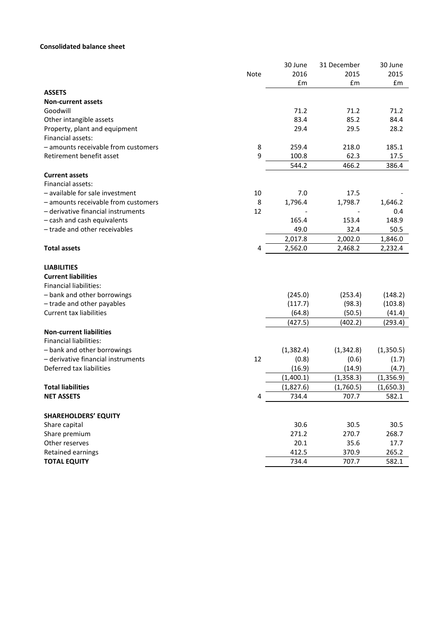# **Consolidated balance sheet**

|                                     |      | 30 June    | 31 December | 30 June   |
|-------------------------------------|------|------------|-------------|-----------|
|                                     | Note | 2016       | 2015        | 2015      |
|                                     |      | Em         | £m          | £m        |
| <b>ASSETS</b>                       |      |            |             |           |
| <b>Non-current assets</b>           |      |            |             |           |
| Goodwill                            |      | 71.2       | 71.2        | 71.2      |
| Other intangible assets             |      | 83.4       | 85.2        | 84.4      |
| Property, plant and equipment       |      | 29.4       | 29.5        | 28.2      |
| Financial assets:                   |      |            |             |           |
| - amounts receivable from customers | 8    | 259.4      | 218.0       | 185.1     |
| Retirement benefit asset            | 9    | 100.8      | 62.3        | 17.5      |
|                                     |      | 544.2      | 466.2       | 386.4     |
| <b>Current assets</b>               |      |            |             |           |
| Financial assets:                   |      |            |             |           |
| - available for sale investment     | 10   | 7.0        | 17.5        |           |
| - amounts receivable from customers | 8    | 1,796.4    | 1,798.7     | 1,646.2   |
| - derivative financial instruments  | 12   |            |             | 0.4       |
| - cash and cash equivalents         |      | 165.4      | 153.4       | 148.9     |
| - trade and other receivables       |      | 49.0       | 32.4        | 50.5      |
|                                     |      | 2,017.8    | 2,002.0     | 1,846.0   |
| <b>Total assets</b>                 | 4    | 2,562.0    | 2,468.2     | 2,232.4   |
| <b>LIABILITIES</b>                  |      |            |             |           |
| <b>Current liabilities</b>          |      |            |             |           |
| <b>Financial liabilities:</b>       |      |            |             |           |
| - bank and other borrowings         |      | (245.0)    | (253.4)     | (148.2)   |
| - trade and other payables          |      | (117.7)    | (98.3)      | (103.8)   |
| <b>Current tax liabilities</b>      |      | (64.8)     | (50.5)      | (41.4)    |
|                                     |      | (427.5)    | (402.2)     | (293.4)   |
| <b>Non-current liabilities</b>      |      |            |             |           |
| <b>Financial liabilities:</b>       |      |            |             |           |
| - bank and other borrowings         |      | (1, 382.4) | (1, 342.8)  | (1,350.5) |
| - derivative financial instruments  | 12   | (0.8)      | (0.6)       | (1.7)     |
| Deferred tax liabilities            |      | (16.9)     | (14.9)      | (4.7)     |
|                                     |      | (1,400.1)  | (1, 358.3)  | (1,356.9) |
| <b>Total liabilities</b>            |      | (1,827.6)  | (1,760.5)   | (1,650.3) |
|                                     |      | 734.4      | 707.7       | 582.1     |
| <b>NET ASSETS</b>                   | 4    |            |             |           |
| <b>SHAREHOLDERS' EQUITY</b>         |      |            |             |           |
| Share capital                       |      | 30.6       | 30.5        | 30.5      |
| Share premium                       |      | 271.2      | 270.7       | 268.7     |
| Other reserves                      |      | 20.1       | 35.6        | 17.7      |
| Retained earnings                   |      | 412.5      | 370.9       | 265.2     |
| <b>TOTAL EQUITY</b>                 |      | 734.4      | 707.7       | 582.1     |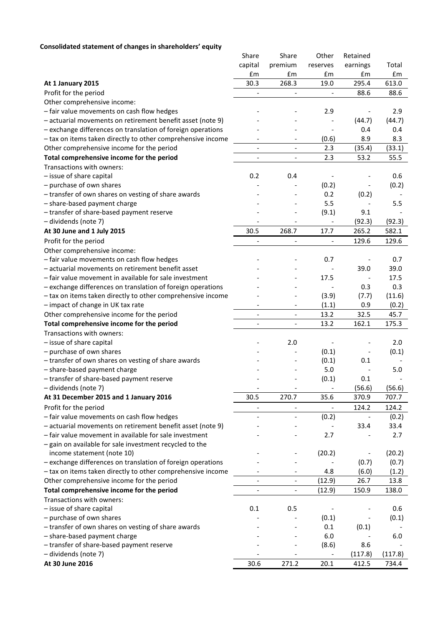# **Consolidated statement of changes in shareholders' equity**

|                                                             | Share                        | Share                    | Other                    | Retained                 |         |
|-------------------------------------------------------------|------------------------------|--------------------------|--------------------------|--------------------------|---------|
|                                                             | capital                      | premium                  | reserves                 | earnings                 | Total   |
|                                                             | £m                           | £m                       | £m                       | £m                       | £m      |
| At 1 January 2015                                           | 30.3                         | 268.3                    | 19.0                     | 295.4                    | 613.0   |
| Profit for the period                                       | $\frac{1}{2}$                | $\overline{\phantom{0}}$ | $\overline{a}$           | 88.6                     | 88.6    |
| Other comprehensive income:                                 |                              |                          |                          |                          |         |
| - fair value movements on cash flow hedges                  |                              |                          | 2.9                      |                          | 2.9     |
| - actuarial movements on retirement benefit asset (note 9)  |                              |                          |                          | (44.7)                   | (44.7)  |
| - exchange differences on translation of foreign operations |                              |                          |                          | 0.4                      | 0.4     |
| - tax on items taken directly to other comprehensive income |                              |                          | (0.6)                    | 8.9                      | 8.3     |
| Other comprehensive income for the period                   | $\qquad \qquad \blacksquare$ | $\overline{\phantom{a}}$ | 2.3                      | (35.4)                   | (33.1)  |
| Total comprehensive income for the period                   | $\overline{\phantom{a}}$     | $\overline{\phantom{a}}$ | 2.3                      | 53.2                     | 55.5    |
| Transactions with owners:                                   |                              |                          |                          |                          |         |
| - issue of share capital                                    | 0.2                          | 0.4                      |                          |                          | 0.6     |
| - purchase of own shares                                    |                              |                          | (0.2)                    | $\overline{\phantom{0}}$ | (0.2)   |
| - transfer of own shares on vesting of share awards         |                              |                          | 0.2                      | (0.2)                    |         |
| - share-based payment charge                                |                              |                          | 5.5                      |                          | 5.5     |
| - transfer of share-based payment reserve                   |                              |                          | (9.1)                    | 9.1                      |         |
| - dividends (note 7)                                        |                              |                          |                          | (92.3)                   | (92.3)  |
| At 30 June and 1 July 2015                                  | 30.5                         | 268.7                    | 17.7                     | 265.2                    | 582.1   |
| Profit for the period                                       | $\overline{a}$               | $\qquad \qquad -$        |                          | 129.6                    | 129.6   |
| Other comprehensive income:                                 |                              |                          |                          |                          |         |
| - fair value movements on cash flow hedges                  |                              |                          | 0.7                      |                          | 0.7     |
| - actuarial movements on retirement benefit asset           |                              |                          |                          | 39.0                     | 39.0    |
| - fair value movement in available for sale investment      |                              |                          | 17.5                     |                          | 17.5    |
| - exchange differences on translation of foreign operations |                              |                          |                          | 0.3                      | 0.3     |
| - tax on items taken directly to other comprehensive income |                              |                          | (3.9)                    | (7.7)                    | (11.6)  |
| - impact of change in UK tax rate                           | $\overline{\phantom{a}}$     | -                        | (1.1)                    | 0.9                      | (0.2)   |
| Other comprehensive income for the period                   | $\overline{\phantom{a}}$     | $\overline{\phantom{a}}$ | 13.2                     | 32.5                     | 45.7    |
| Total comprehensive income for the period                   | $\overline{\phantom{a}}$     |                          | 13.2                     | 162.1                    | 175.3   |
| Transactions with owners:                                   |                              |                          |                          |                          |         |
| - issue of share capital                                    |                              | 2.0                      |                          |                          | 2.0     |
| - purchase of own shares                                    |                              |                          | (0.1)                    |                          | (0.1)   |
| - transfer of own shares on vesting of share awards         |                              |                          | (0.1)                    | 0.1                      |         |
| - share-based payment charge                                |                              |                          | 5.0                      |                          | 5.0     |
| - transfer of share-based payment reserve                   |                              |                          | (0.1)                    | 0.1                      |         |
| - dividends (note 7)                                        |                              |                          | $\overline{\phantom{a}}$ | (56.6)                   | (56.6)  |
| At 31 December 2015 and 1 January 2016                      | 30.5                         | 270.7                    | 35.6                     | 370.9                    | 707.7   |
| Profit for the period                                       | $\overline{\phantom{a}}$     | $\overline{\phantom{a}}$ | $\qquad \qquad -$        | 124.2                    | 124.2   |
| - fair value movements on cash flow hedges                  |                              | $\overline{\phantom{0}}$ | (0.2)                    | $\overline{\phantom{0}}$ | (0.2)   |
| - actuarial movements on retirement benefit asset (note 9)  |                              |                          |                          | 33.4                     | 33.4    |
| - fair value movement in available for sale investment      |                              |                          | 2.7                      |                          | 2.7     |
| - gain on available for sale investment recycled to the     |                              |                          |                          |                          |         |
| income statement (note 10)                                  |                              |                          | (20.2)                   |                          | (20.2)  |
| - exchange differences on translation of foreign operations |                              |                          |                          | (0.7)                    | (0.7)   |
| - tax on items taken directly to other comprehensive income |                              |                          | 4.8                      | (6.0)                    | (1.2)   |
| Other comprehensive income for the period                   |                              | $\qquad \qquad -$        | (12.9)                   | 26.7                     | 13.8    |
| Total comprehensive income for the period                   | $\overline{a}$               | -                        | (12.9)                   | 150.9                    | 138.0   |
| Transactions with owners:                                   |                              |                          |                          |                          |         |
| - issue of share capital                                    | 0.1                          | 0.5                      |                          |                          | 0.6     |
| - purchase of own shares                                    |                              |                          | (0.1)                    |                          | (0.1)   |
| - transfer of own shares on vesting of share awards         |                              |                          | 0.1                      | (0.1)                    |         |
| - share-based payment charge                                |                              |                          | 6.0                      |                          | 6.0     |
| - transfer of share-based payment reserve                   |                              |                          | (8.6)                    | 8.6                      |         |
| - dividends (note 7)                                        |                              |                          | $\overline{\phantom{a}}$ | (117.8)                  | (117.8) |
| At 30 June 2016                                             | 30.6                         | 271.2                    | 20.1                     | 412.5                    | 734.4   |
|                                                             |                              |                          |                          |                          |         |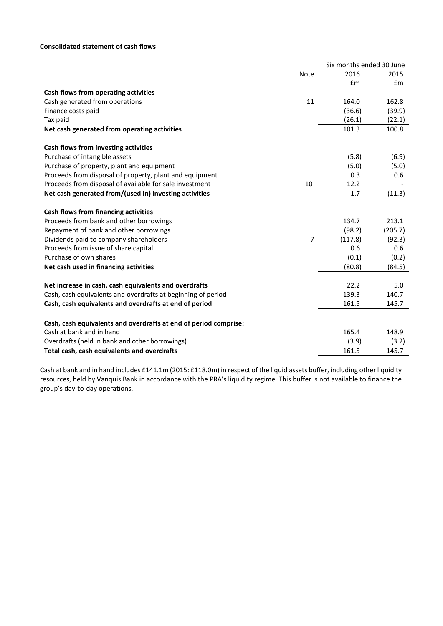# **Consolidated statement of cash flows**

|                                                                  |                | Six months ended 30 June |         |
|------------------------------------------------------------------|----------------|--------------------------|---------|
|                                                                  | <b>Note</b>    | 2016                     | 2015    |
|                                                                  |                | £m                       | Em      |
| Cash flows from operating activities                             |                |                          |         |
| Cash generated from operations                                   | 11             | 164.0                    | 162.8   |
| Finance costs paid                                               |                | (36.6)                   | (39.9)  |
| Tax paid                                                         |                | (26.1)                   | (22.1)  |
| Net cash generated from operating activities                     |                | 101.3                    | 100.8   |
| Cash flows from investing activities                             |                |                          |         |
| Purchase of intangible assets                                    |                | (5.8)                    | (6.9)   |
| Purchase of property, plant and equipment                        |                | (5.0)                    | (5.0)   |
| Proceeds from disposal of property, plant and equipment          |                | 0.3                      | 0.6     |
| Proceeds from disposal of available for sale investment          | 10             | 12.2                     |         |
| Net cash generated from/(used in) investing activities           |                | 1.7                      | (11.3)  |
| Cash flows from financing activities                             |                |                          |         |
| Proceeds from bank and other borrowings                          |                | 134.7                    | 213.1   |
| Repayment of bank and other borrowings                           |                | (98.2)                   | (205.7) |
| Dividends paid to company shareholders                           | $\overline{7}$ | (117.8)                  | (92.3)  |
| Proceeds from issue of share capital                             |                | 0.6                      | 0.6     |
| Purchase of own shares                                           |                | (0.1)                    | (0.2)   |
| Net cash used in financing activities                            |                | (80.8)                   | (84.5)  |
| Net increase in cash, cash equivalents and overdrafts            |                | 22.2                     | 5.0     |
| Cash, cash equivalents and overdrafts at beginning of period     |                | 139.3                    | 140.7   |
| Cash, cash equivalents and overdrafts at end of period           |                | 161.5                    | 145.7   |
| Cash, cash equivalents and overdrafts at end of period comprise: |                |                          |         |
| Cash at bank and in hand                                         |                | 165.4                    | 148.9   |
| Overdrafts (held in bank and other borrowings)                   |                | (3.9)                    | (3.2)   |
| Total cash, cash equivalents and overdrafts                      |                | 161.5                    | 145.7   |

Cash at bank and in hand includes £141.1m (2015: £118.0m) in respect of the liquid assets buffer, including other liquidity resources, held by Vanquis Bank in accordance with the PRA's liquidity regime. This buffer is not available to finance the group's day-to-day operations.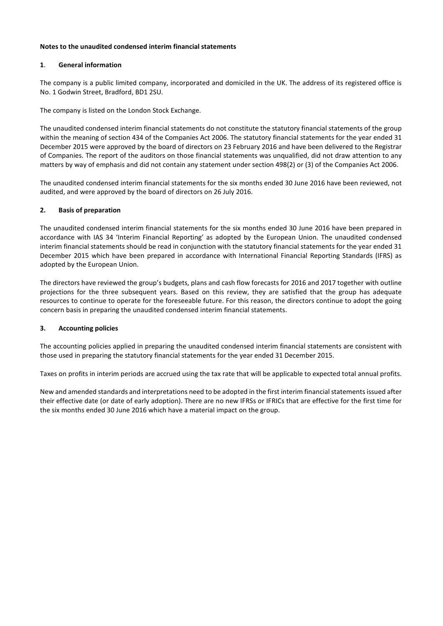# **Notes to the unaudited condensed interim financial statements**

# **1**. **General information**

The company is a public limited company, incorporated and domiciled in the UK. The address of its registered office is No. 1 Godwin Street, Bradford, BD1 2SU.

The company is listed on the London Stock Exchange.

The unaudited condensed interim financial statements do not constitute the statutory financial statements of the group within the meaning of section 434 of the Companies Act 2006. The statutory financial statements for the year ended 31 December 2015 were approved by the board of directors on 23 February 2016 and have been delivered to the Registrar of Companies. The report of the auditors on those financial statements was unqualified, did not draw attention to any matters by way of emphasis and did not contain any statement under section 498(2) or (3) of the Companies Act 2006.

The unaudited condensed interim financial statements for the six months ended 30 June 2016 have been reviewed, not audited, and were approved by the board of directors on 26 July 2016.

# **2. Basis of preparation**

The unaudited condensed interim financial statements for the six months ended 30 June 2016 have been prepared in accordance with IAS 34 'Interim Financial Reporting' as adopted by the European Union. The unaudited condensed interim financial statements should be read in conjunction with the statutory financial statements for the year ended 31 December 2015 which have been prepared in accordance with International Financial Reporting Standards (IFRS) as adopted by the European Union.

The directors have reviewed the group's budgets, plans and cash flow forecasts for 2016 and 2017 together with outline projections for the three subsequent years. Based on this review, they are satisfied that the group has adequate resources to continue to operate for the foreseeable future. For this reason, the directors continue to adopt the going concern basis in preparing the unaudited condensed interim financial statements.

# **3. Accounting policies**

The accounting policies applied in preparing the unaudited condensed interim financial statements are consistent with those used in preparing the statutory financial statements for the year ended 31 December 2015.

Taxes on profits in interim periods are accrued using the tax rate that will be applicable to expected total annual profits.

New and amended standards and interpretations need to be adopted in the first interim financial statements issued after their effective date (or date of early adoption). There are no new IFRSs or IFRICs that are effective for the first time for the six months ended 30 June 2016 which have a material impact on the group.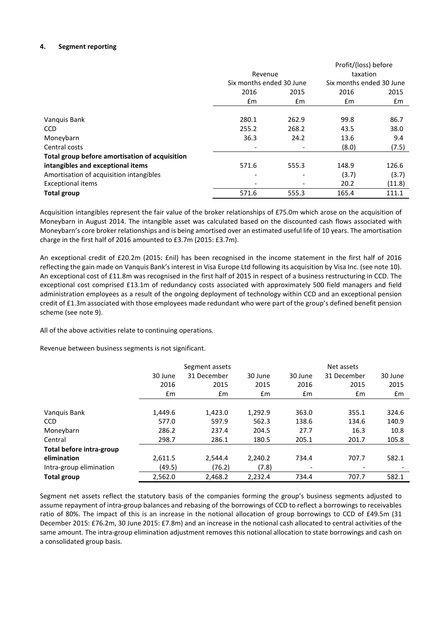# **4. Segment reporting**

|                                                |                              |                          | Profit/(loss) before |                          |  |
|------------------------------------------------|------------------------------|--------------------------|----------------------|--------------------------|--|
|                                                | Revenue                      |                          |                      | taxation                 |  |
|                                                | Six months ended 30 June     |                          |                      | Six months ended 30 June |  |
|                                                | 2016                         | 2015                     | 2016                 | 2015                     |  |
|                                                | £m                           | $\mathsf{fm}$            | £m                   | £m                       |  |
|                                                |                              |                          |                      |                          |  |
| Vanquis Bank                                   | 280.1                        | 262.9                    | 99.8                 | 86.7                     |  |
| <b>CCD</b>                                     | 255.2                        | 268.2                    | 43.5                 | 38.0                     |  |
| Moneybarn                                      | 36.3                         | 24.2                     | 13.6                 | 9.4                      |  |
| Central costs                                  |                              |                          | (8.0)                | (7.5)                    |  |
| Total group before amortisation of acquisition |                              |                          |                      |                          |  |
| intangibles and exceptional items              | 571.6                        | 555.3                    | 148.9                | 126.6                    |  |
| Amortisation of acquisition intangibles        | $\qquad \qquad \blacksquare$ | $\overline{\phantom{0}}$ | (3.7)                | (3.7)                    |  |
| <b>Exceptional items</b>                       |                              |                          | 20.2                 | (11.8)                   |  |
| <b>Total group</b>                             | 571.6                        | 555.3                    | 165.4                | 111.1                    |  |

Acquisition intangibles represent the fair value of the broker relationships of £75.0m which arose on the acquisition of Moneybarn in August 2014. The intangible asset was calculated based on the discounted cash flows associated with Moneybarn's core broker relationships and is being amortised over an estimated useful life of 10 years. The amortisation charge in the first half of 2016 amounted to £3.7m (2015: £3.7m).

An exceptional credit of £20.2m (2015: £nil) has been recognised in the income statement in the first half of 2016 reflecting the gain made on Vanquis Bank's interest in Visa Europe Ltd following its acquisition by Visa Inc. (see note 10). An exceptional cost of £11.8m was recognised in the first half of 2015 in respect of a business restructuring in CCD. The exceptional cost comprised £13.1m of redundancy costs associated with approximately 500 field managers and field administration employees as a result of the ongoing deployment of technology within CCD and an exceptional pension credit of £1.3m associated with those employees made redundant who were part of the group's defined benefit pension scheme (see note 9).

All of the above activities relate to continuing operations.

Revenue between business segments is not significant.

|                          |         | Segment assets |               |               | Net assets    |         |
|--------------------------|---------|----------------|---------------|---------------|---------------|---------|
|                          | 30 June | 31 December    | 30 June       | 30 June       | 31 December   | 30 June |
|                          | 2016    | 2015           | 2015          | 2016          | 2015          | 2015    |
|                          | Em      | $\mathsf{fm}$  | $\mathsf{fm}$ | $\mathsf{fm}$ | $\mathsf{fm}$ | £m      |
|                          |         |                |               |               |               |         |
| Vanquis Bank             | 1.449.6 | 1,423.0        | 1,292.9       | 363.0         | 355.1         | 324.6   |
| <b>CCD</b>               | 577.0   | 597.9          | 562.3         | 138.6         | 134.6         | 140.9   |
| Moneybarn                | 286.2   | 237.4          | 204.5         | 27.7          | 16.3          | 10.8    |
| Central                  | 298.7   | 286.1          | 180.5         | 205.1         | 201.7         | 105.8   |
| Total before intra-group |         |                |               |               |               |         |
| elimination              | 2,611.5 | 2,544.4        | 2,240.2       | 734.4         | 707.7         | 582.1   |
| Intra-group elimination  | (49.5)  | (76.2)         | (7.8)         | ٠             |               |         |
| <b>Total group</b>       | 2,562.0 | 2,468.2        | 2,232.4       | 734.4         | 707.7         | 582.1   |

Segment net assets reflect the statutory basis of the companies forming the group's business segments adjusted to assume repayment of intra-group balances and rebasing of the borrowings of CCD to reflect a borrowings to receivables ratio of 80%. The impact of this is an increase in the notional allocation of group borrowings to CCD of £49.5m (31 December 2015: £76.2m, 30 June 2015: £7.8m) and an increase in the notional cash allocated to central activities of the same amount. The intra-group elimination adjustment removes this notional allocation to state borrowings and cash on a consolidated group basis.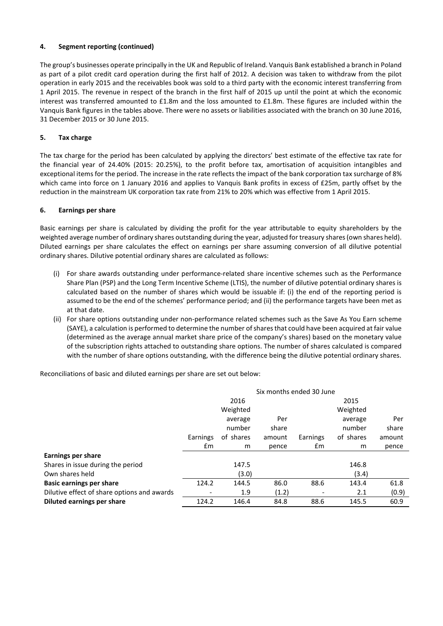# **4. Segment reporting (continued)**

The group's businesses operate principally in the UK and Republic of Ireland. Vanquis Bank established a branch in Poland as part of a pilot credit card operation during the first half of 2012. A decision was taken to withdraw from the pilot operation in early 2015 and the receivables book was sold to a third party with the economic interest transferring from 1 April 2015. The revenue in respect of the branch in the first half of 2015 up until the point at which the economic interest was transferred amounted to £1.8m and the loss amounted to £1.8m. These figures are included within the Vanquis Bank figures in the tables above. There were no assets or liabilities associated with the branch on 30 June 2016, 31 December 2015 or 30 June 2015.

# **5. Tax charge**

The tax charge for the period has been calculated by applying the directors' best estimate of the effective tax rate for the financial year of 24.40% (2015: 20.25%), to the profit before tax, amortisation of acquisition intangibles and exceptional items for the period. The increase in the rate reflects the impact of the bank corporation tax surcharge of 8% which came into force on 1 January 2016 and applies to Vanquis Bank profits in excess of £25m, partly offset by the reduction in the mainstream UK corporation tax rate from 21% to 20% which was effective from 1 April 2015.

# **6. Earnings per share**

Basic earnings per share is calculated by dividing the profit for the year attributable to equity shareholders by the weighted average number of ordinary shares outstanding during the year, adjusted for treasury shares (own shares held). Diluted earnings per share calculates the effect on earnings per share assuming conversion of all dilutive potential ordinary shares. Dilutive potential ordinary shares are calculated as follows:

- (i) For share awards outstanding under performance-related share incentive schemes such as the Performance Share Plan (PSP) and the Long Term Incentive Scheme (LTIS), the number of dilutive potential ordinary shares is calculated based on the number of shares which would be issuable if: (i) the end of the reporting period is assumed to be the end of the schemes' performance period; and (ii) the performance targets have been met as at that date.
- (ii) For share options outstanding under non-performance related schemes such as the Save As You Earn scheme (SAYE), a calculation is performed to determine the number of shares that could have been acquired at fair value (determined as the average annual market share price of the company's shares) based on the monetary value of the subscription rights attached to outstanding share options. The number of shares calculated is compared with the number of share options outstanding, with the difference being the dilutive potential ordinary shares.

Reconciliations of basic and diluted earnings per share are set out below:

|                                             | Six months ended 30 June |           |        |          |           |        |
|---------------------------------------------|--------------------------|-----------|--------|----------|-----------|--------|
|                                             |                          | 2016      |        |          | 2015      |        |
|                                             |                          | Weighted  |        |          | Weighted  |        |
|                                             |                          | average   | Per    |          | average   | Per    |
|                                             |                          | number    | share  |          | number    | share  |
|                                             | Earnings                 | of shares | amount | Earnings | of shares | amount |
|                                             | £m                       | m         | pence  | £m       | m         | pence  |
| <b>Earnings per share</b>                   |                          |           |        |          |           |        |
| Shares in issue during the period           |                          | 147.5     |        |          | 146.8     |        |
| Own shares held                             |                          | (3.0)     |        |          | (3.4)     |        |
| <b>Basic earnings per share</b>             | 124.2                    | 144.5     | 86.0   | 88.6     | 143.4     | 61.8   |
| Dilutive effect of share options and awards |                          | 1.9       | (1.2)  |          | 2.1       | (0.9)  |
| Diluted earnings per share                  | 124.2                    | 146.4     | 84.8   | 88.6     | 145.5     | 60.9   |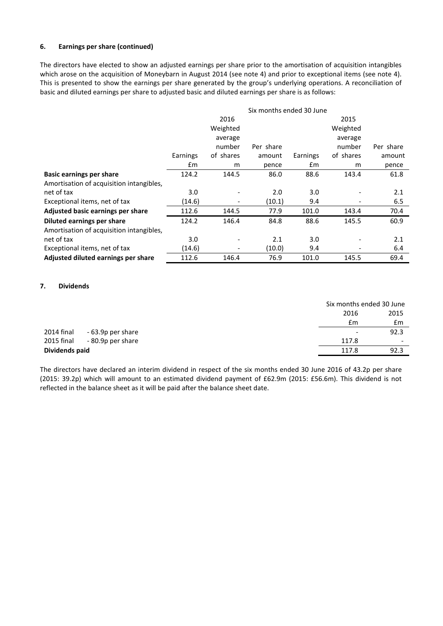# **6. Earnings per share (continued)**

The directors have elected to show an adjusted earnings per share prior to the amortisation of acquisition intangibles which arose on the acquisition of Moneybarn in August 2014 (see note 4) and prior to exceptional items (see note 4). This is presented to show the earnings per share generated by the group's underlying operations. A reconciliation of basic and diluted earnings per share to adjusted basic and diluted earnings per share is as follows:

|                                          | Six months ended 30 June |           |           |          |           |           |
|------------------------------------------|--------------------------|-----------|-----------|----------|-----------|-----------|
|                                          |                          | 2016      |           |          | 2015      |           |
|                                          |                          | Weighted  |           |          | Weighted  |           |
|                                          |                          | average   |           |          | average   |           |
|                                          |                          | number    | Per share |          | number    | Per share |
|                                          | Earnings                 | of shares | amount    | Earnings | of shares | amount    |
|                                          | £m                       | m         | pence     | £m       | m         | pence     |
| <b>Basic earnings per share</b>          | 124.2                    | 144.5     | 86.0      | 88.6     | 143.4     | 61.8      |
| Amortisation of acquisition intangibles, |                          |           |           |          |           |           |
| net of tax                               | 3.0 <sub>2</sub>         |           | 2.0       | 3.0      |           | 2.1       |
| Exceptional items, net of tax            | (14.6)                   |           | (10.1)    | 9.4      |           | 6.5       |
| Adjusted basic earnings per share        | 112.6                    | 144.5     | 77.9      | 101.0    | 143.4     | 70.4      |
| Diluted earnings per share               | 124.2                    | 146.4     | 84.8      | 88.6     | 145.5     | 60.9      |
| Amortisation of acquisition intangibles, |                          |           |           |          |           |           |
| net of tax                               | 3.0                      |           | 2.1       | 3.0      |           | 2.1       |
| Exceptional items, net of tax            | (14.6)                   |           | (10.0)    | 9.4      |           | 6.4       |
| Adjusted diluted earnings per share      | 112.6                    | 146.4     | 76.9      | 101.0    | 145.5     | 69.4      |

#### **7. Dividends**

|                                 |                          | Six months ended 30 June |  |
|---------------------------------|--------------------------|--------------------------|--|
|                                 | 2016                     | 2015                     |  |
|                                 | £m                       | £m                       |  |
| 2014 final<br>- 63.9p per share | $\overline{\phantom{a}}$ | 92.3                     |  |
| 2015 final<br>- 80.9p per share | 117.8                    | $\overline{\phantom{a}}$ |  |
| Dividends paid                  | 117.8                    | 92.3                     |  |

The directors have declared an interim dividend in respect of the six months ended 30 June 2016 of 43.2p per share (2015: 39.2p) which will amount to an estimated dividend payment of £62.9m (2015: £56.6m). This dividend is not reflected in the balance sheet as it will be paid after the balance sheet date.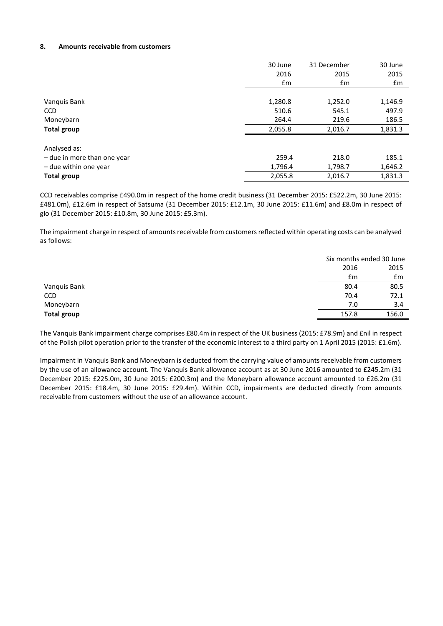## **8. Amounts receivable from customers**

|                             | 30 June       | 31 December | 30 June |
|-----------------------------|---------------|-------------|---------|
|                             | 2016          | 2015        | 2015    |
|                             | $\mathsf{fm}$ | £m          | £m      |
|                             |               |             |         |
| Vanquis Bank                | 1,280.8       | 1,252.0     | 1,146.9 |
| <b>CCD</b>                  | 510.6         | 545.1       | 497.9   |
| Moneybarn                   | 264.4         | 219.6       | 186.5   |
| <b>Total group</b>          | 2,055.8       | 2,016.7     | 1,831.3 |
|                             |               |             |         |
| Analysed as:                |               |             |         |
| - due in more than one year | 259.4         | 218.0       | 185.1   |
| - due within one year       | 1,796.4       | 1,798.7     | 1,646.2 |
| <b>Total group</b>          | 2,055.8       | 2,016.7     | 1,831.3 |

CCD receivables comprise £490.0m in respect of the home credit business (31 December 2015: £522.2m, 30 June 2015: £481.0m), £12.6m in respect of Satsuma (31 December 2015: £12.1m, 30 June 2015: £11.6m) and £8.0m in respect of glo (31 December 2015: £10.8m, 30 June 2015: £5.3m).

The impairment charge in respect of amounts receivable from customers reflected within operating costs can be analysed as follows:

|              |       | Six months ended 30 June |
|--------------|-------|--------------------------|
|              | 2016  | 2015                     |
|              | £m    | £m                       |
| Vanquis Bank | 80.4  | 80.5                     |
| CCD          | 70.4  | 72.1                     |
| Moneybarn    | 7.0   | 3.4                      |
| Total group  | 157.8 | 156.0                    |
|              |       |                          |

The Vanquis Bank impairment charge comprises £80.4m in respect of the UK business (2015: £78.9m) and £nil in respect of the Polish pilot operation prior to the transfer of the economic interest to a third party on 1 April 2015 (2015: £1.6m).

Impairment in Vanquis Bank and Moneybarn is deducted from the carrying value of amounts receivable from customers by the use of an allowance account. The Vanquis Bank allowance account as at 30 June 2016 amounted to £245.2m (31 December 2015: £225.0m, 30 June 2015: £200.3m) and the Moneybarn allowance account amounted to £26.2m (31 December 2015: £18.4m, 30 June 2015: £29.4m). Within CCD, impairments are deducted directly from amounts receivable from customers without the use of an allowance account.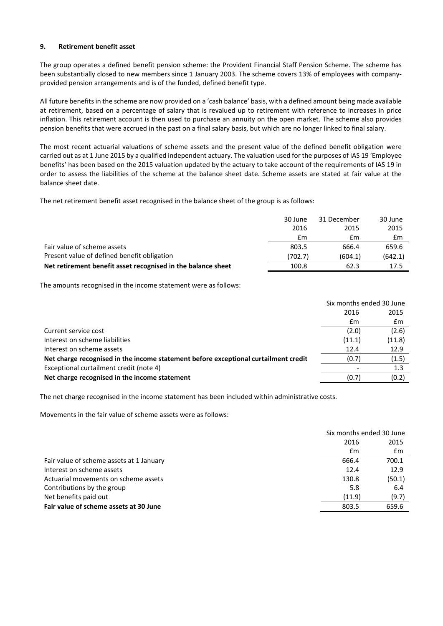## **9. Retirement benefit asset**

The group operates a defined benefit pension scheme: the Provident Financial Staff Pension Scheme. The scheme has been substantially closed to new members since 1 January 2003. The scheme covers 13% of employees with companyprovided pension arrangements and is of the funded, defined benefit type.

All future benefits in the scheme are now provided on a 'cash balance' basis, with a defined amount being made available at retirement, based on a percentage of salary that is revalued up to retirement with reference to increases in price inflation. This retirement account is then used to purchase an annuity on the open market. The scheme also provides pension benefits that were accrued in the past on a final salary basis, but which are no longer linked to final salary.

The most recent actuarial valuations of scheme assets and the present value of the defined benefit obligation were carried out as at 1 June 2015 by a qualified independent actuary. The valuation used for the purposes of IAS 19 'Employee benefits' has been based on the 2015 valuation updated by the actuary to take account of the requirements of IAS 19 in order to assess the liabilities of the scheme at the balance sheet date. Scheme assets are stated at fair value at the balance sheet date.

The net retirement benefit asset recognised in the balance sheet of the group is as follows:

|                                                              | 30 June | 31 December | 30 June |
|--------------------------------------------------------------|---------|-------------|---------|
|                                                              | 2016    | 2015        | 2015    |
|                                                              | £m      | £m          | £m      |
| Fair value of scheme assets                                  | 803.5   | 666.4       | 659.6   |
| Present value of defined benefit obligation                  | (702.7) | (604.1)     | (642.1) |
| Net retirement benefit asset recognised in the balance sheet | 100.8   | 62.3        | 17.5    |

The amounts recognised in the income statement were as follows:

|                                                                                     | Six months ended 30 June |        |
|-------------------------------------------------------------------------------------|--------------------------|--------|
|                                                                                     | 2016                     | 2015   |
|                                                                                     | £m                       | £m     |
| Current service cost                                                                | (2.0)                    | (2.6)  |
| Interest on scheme liabilities                                                      | (11.1)                   | (11.8) |
| Interest on scheme assets                                                           | 12.4                     | 12.9   |
| Net charge recognised in the income statement before exceptional curtailment credit | (0.7)                    | (1.5)  |
| Exceptional curtailment credit (note 4)                                             |                          | 1.3    |
| Net charge recognised in the income statement                                       | (0.7)                    | (0.2)  |
|                                                                                     |                          |        |

The net charge recognised in the income statement has been included within administrative costs.

Movements in the fair value of scheme assets were as follows:

|                                          | Six months ended 30 June |        |  |
|------------------------------------------|--------------------------|--------|--|
|                                          | 2016                     | 2015   |  |
|                                          | £m                       | £m     |  |
| Fair value of scheme assets at 1 January | 666.4                    | 700.1  |  |
| Interest on scheme assets                | 12.4                     | 12.9   |  |
| Actuarial movements on scheme assets     | 130.8                    | (50.1) |  |
| Contributions by the group               | 5.8                      | 6.4    |  |
| Net benefits paid out                    | (11.9)                   | (9.7)  |  |
| Fair value of scheme assets at 30 June   | 803.5                    | 659.6  |  |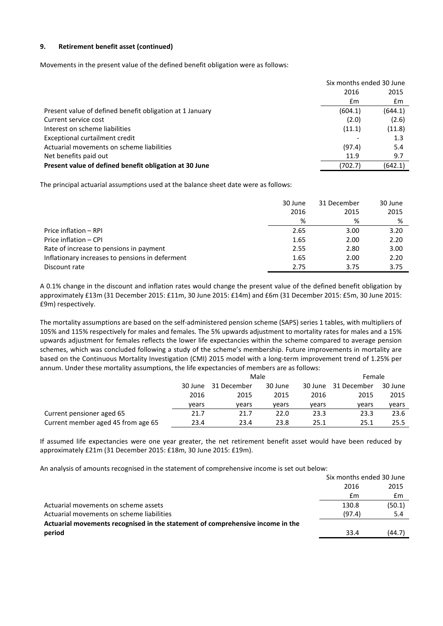# **9. Retirement benefit asset (continued)**

Movements in the present value of the defined benefit obligation were as follows:

|                                                          | Six months ended 30 June |         |  |
|----------------------------------------------------------|--------------------------|---------|--|
|                                                          | 2016                     | 2015    |  |
|                                                          | £m                       | £m      |  |
| Present value of defined benefit obligation at 1 January | (604.1)                  | (644.1) |  |
| Current service cost                                     | (2.0)                    | (2.6)   |  |
| Interest on scheme liabilities                           | (11.1)                   | (11.8)  |  |
| Exceptional curtailment credit                           |                          | 1.3     |  |
| Actuarial movements on scheme liabilities                | (97.4)                   | 5.4     |  |
| Net benefits paid out                                    | 11.9                     | 9.7     |  |
| Present value of defined benefit obligation at 30 June   | (702.7)                  | (642.1) |  |

The principal actuarial assumptions used at the balance sheet date were as follows:

|                                                 | 30 June | 31 December | 30 June |
|-------------------------------------------------|---------|-------------|---------|
|                                                 | 2016    | 2015        | 2015    |
|                                                 | %       | %           | %       |
| Price inflation - RPI                           | 2.65    | 3.00        | 3.20    |
| Price inflation - CPI                           | 1.65    | 2.00        | 2.20    |
| Rate of increase to pensions in payment         | 2.55    | 2.80        | 3.00    |
| Inflationary increases to pensions in deferment | 1.65    | 2.00        | 2.20    |
| Discount rate                                   | 2.75    | 3.75        | 3.75    |

A 0.1% change in the discount and inflation rates would change the present value of the defined benefit obligation by approximately £13m (31 December 2015: £11m, 30 June 2015: £14m) and £6m (31 December 2015: £5m, 30 June 2015: £9m) respectively.

The mortality assumptions are based on the self-administered pension scheme (SAPS) series 1 tables, with multipliers of 105% and 115% respectively for males and females. The 5% upwards adjustment to mortality rates for males and a 15% upwards adjustment for females reflects the lower life expectancies within the scheme compared to average pension schemes, which was concluded following a study of the scheme's membership. Future improvements in mortality are based on the Continuous Mortality Investigation (CMI) 2015 model with a long-term improvement trend of 1.25% per annum. Under these mortality assumptions, the life expectancies of members are as follows:

|                                    | Male    |             |         | Female |                     |         |
|------------------------------------|---------|-------------|---------|--------|---------------------|---------|
|                                    | 30 June | 31 December | 30 June |        | 30 June 31 December | 30 June |
|                                    | 2016    | 2015        | 2015    | 2016   | 2015                | 2015    |
|                                    | vears   | vears       | vears   | vears  | vears               | vears   |
| Current pensioner aged 65          | 21.7    | 21.7        | 22.0    | 23.3   | 23.3                | 23.6    |
| Current member aged 45 from age 65 | 23.4    | 23.4        | 23.8    | 25.1   | 25.1                | 25.5    |

If assumed life expectancies were one year greater, the net retirement benefit asset would have been reduced by approximately £21m (31 December 2015: £18m, 30 June 2015: £19m).

An analysis of amounts recognised in the statement of comprehensive income is set out below:

|                                                                                | Six months ended 30 June |        |
|--------------------------------------------------------------------------------|--------------------------|--------|
|                                                                                | 2016                     | 2015   |
|                                                                                | £m                       | £m     |
| Actuarial movements on scheme assets                                           | 130.8                    | (50.1) |
| Actuarial movements on scheme liabilities                                      | (97.4)                   | 5.4    |
| Actuarial movements recognised in the statement of comprehensive income in the |                          |        |
| period                                                                         | 33.4                     | (44.7) |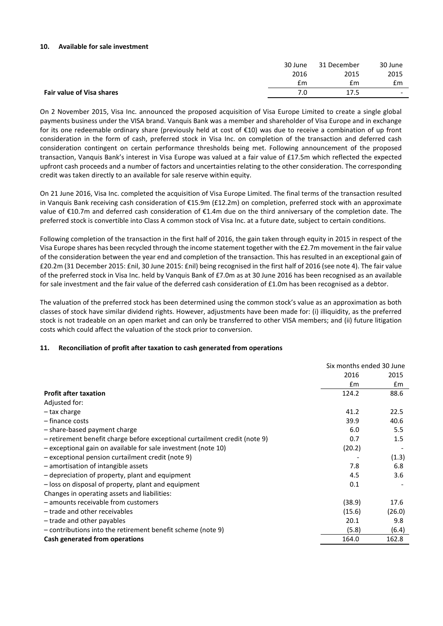#### **10. Available for sale investment**

|                           | 30 June | 31 December | 30 June                  |
|---------------------------|---------|-------------|--------------------------|
|                           | 2016    | 2015        | 2015                     |
|                           | £m      | £m          | £m                       |
| Fair value of Visa shares | 7.0     | 17.5        | $\overline{\phantom{0}}$ |
|                           |         |             |                          |

On 2 November 2015, Visa Inc. announced the proposed acquisition of Visa Europe Limited to create a single global payments business under the VISA brand. Vanquis Bank was a member and shareholder of Visa Europe and in exchange for its one redeemable ordinary share (previously held at cost of €10) was due to receive a combination of up front consideration in the form of cash, preferred stock in Visa Inc. on completion of the transaction and deferred cash consideration contingent on certain performance thresholds being met. Following announcement of the proposed transaction, Vanquis Bank's interest in Visa Europe was valued at a fair value of £17.5m which reflected the expected upfront cash proceeds and a number of factors and uncertainties relating to the other consideration. The corresponding credit was taken directly to an available for sale reserve within equity.

On 21 June 2016, Visa Inc. completed the acquisition of Visa Europe Limited. The final terms of the transaction resulted in Vanquis Bank receiving cash consideration of €15.9m (£12.2m) on completion, preferred stock with an approximate value of €10.7m and deferred cash consideration of €1.4m due on the third anniversary of the completion date. The preferred stock is convertible into Class A common stock of Visa Inc. at a future date, subject to certain conditions.

Following completion of the transaction in the first half of 2016, the gain taken through equity in 2015 in respect of the Visa Europe shares has been recycled through the income statement together with the £2.7m movement in the fair value of the consideration between the year end and completion of the transaction. This has resulted in an exceptional gain of £20.2m (31 December 2015: £nil, 30 June 2015: £nil) being recognised in the first half of 2016 (see note 4). The fair value of the preferred stock in Visa Inc. held by Vanquis Bank of £7.0m as at 30 June 2016 has been recognised as an available for sale investment and the fair value of the deferred cash consideration of £1.0m has been recognised as a debtor.

The valuation of the preferred stock has been determined using the common stock's value as an approximation as both classes of stock have similar dividend rights. However, adjustments have been made for: (i) illiquidity, as the preferred stock is not tradeable on an open market and can only be transferred to other VISA members; and (ii) future litigation costs which could affect the valuation of the stock prior to conversion.

# **11. Reconciliation of profit after taxation to cash generated from operations**

|                                                                            | Six months ended 30 June |        |
|----------------------------------------------------------------------------|--------------------------|--------|
|                                                                            | 2016                     | 2015   |
|                                                                            | $\mathsf{fm}$            | Em     |
| <b>Profit after taxation</b>                                               | 124.2                    | 88.6   |
| Adjusted for:                                                              |                          |        |
| - tax charge                                                               | 41.2                     | 22.5   |
| - finance costs                                                            | 39.9                     | 40.6   |
| - share-based payment charge                                               | 6.0                      | 5.5    |
| - retirement benefit charge before exceptional curtailment credit (note 9) | 0.7                      | 1.5    |
| - exceptional gain on available for sale investment (note 10)              | (20.2)                   |        |
| - exceptional pension curtailment credit (note 9)                          |                          | (1.3)  |
| - amortisation of intangible assets                                        | 7.8                      | 6.8    |
| - depreciation of property, plant and equipment                            | 4.5                      | 3.6    |
| - loss on disposal of property, plant and equipment                        | 0.1                      |        |
| Changes in operating assets and liabilities:                               |                          |        |
| - amounts receivable from customers                                        | (38.9)                   | 17.6   |
| - trade and other receivables                                              | (15.6)                   | (26.0) |
| - trade and other payables                                                 | 20.1                     | 9.8    |
| - contributions into the retirement benefit scheme (note 9)                | (5.8)                    | (6.4)  |
| Cash generated from operations                                             | 164.0                    | 162.8  |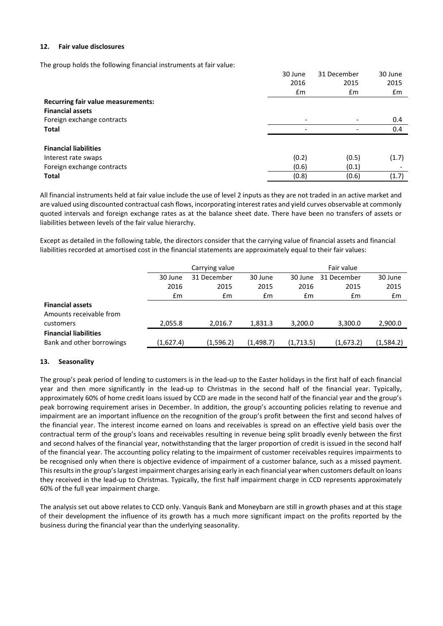## **12. Fair value disclosures**

The group holds the following financial instruments at fair value:

|                                           | 30 June | 31 December              | 30 June |
|-------------------------------------------|---------|--------------------------|---------|
|                                           | 2016    | 2015                     | 2015    |
|                                           | £m      | £m                       | £m      |
| <b>Recurring fair value measurements:</b> |         |                          |         |
| <b>Financial assets</b>                   |         |                          |         |
| Foreign exchange contracts                |         | $\overline{\phantom{a}}$ | 0.4     |
| Total                                     |         | $\overline{\phantom{a}}$ | 0.4     |
|                                           |         |                          |         |
| <b>Financial liabilities</b>              |         |                          |         |
| Interest rate swaps                       | (0.2)   | (0.5)                    | (1.7)   |
| Foreign exchange contracts                | (0.6)   | (0.1)                    |         |
| Total                                     | (0.8)   | (0.6)                    | (1.7)   |

All financial instruments held at fair value include the use of level 2 inputs as they are not traded in an active market and are valued using discounted contractual cash flows, incorporating interest rates and yield curves observable at commonly quoted intervals and foreign exchange rates as at the balance sheet date. There have been no transfers of assets or liabilities between levels of the fair value hierarchy.

Except as detailed in the following table, the directors consider that the carrying value of financial assets and financial liabilities recorded at amortised cost in the financial statements are approximately equal to their fair values:

|                              | Carrying value |               |               | Fair value |               |           |
|------------------------------|----------------|---------------|---------------|------------|---------------|-----------|
|                              | 30 June        | 31 December   | 30 June       | 30 June    | 31 December   | 30 June   |
|                              | 2016           | 2015          | 2015          | 2016       | 2015          | 2015      |
|                              | $\mathsf{fm}$  | $\mathsf{fm}$ | $\mathsf{fm}$ | £m         | $\mathsf{fm}$ | Em        |
| <b>Financial assets</b>      |                |               |               |            |               |           |
| Amounts receivable from      |                |               |               |            |               |           |
| customers                    | 2,055.8        | 2.016.7       | 1,831.3       | 3,200.0    | 3,300.0       | 2,900.0   |
| <b>Financial liabilities</b> |                |               |               |            |               |           |
| Bank and other borrowings    | (1,627.4)      | (1,596.2)     | (1,498.7)     | (1,713.5)  | (1,673.2)     | (1,584.2) |

# **13. Seasonality**

The group's peak period of lending to customers is in the lead-up to the Easter holidays in the first half of each financial year and then more significantly in the lead-up to Christmas in the second half of the financial year. Typically, approximately 60% of home credit loans issued by CCD are made in the second half of the financial year and the group's peak borrowing requirement arises in December. In addition, the group's accounting policies relating to revenue and impairment are an important influence on the recognition of the group's profit between the first and second halves of the financial year. The interest income earned on loans and receivables is spread on an effective yield basis over the contractual term of the group's loans and receivables resulting in revenue being split broadly evenly between the first and second halves of the financial year, notwithstanding that the larger proportion of credit is issued in the second half of the financial year. The accounting policy relating to the impairment of customer receivables requires impairments to be recognised only when there is objective evidence of impairment of a customer balance, such as a missed payment. This results in the group's largest impairment charges arising early in each financial year when customers default on loans they received in the lead-up to Christmas. Typically, the first half impairment charge in CCD represents approximately 60% of the full year impairment charge.

The analysis set out above relates to CCD only. Vanquis Bank and Moneybarn are still in growth phases and at this stage of their development the influence of its growth has a much more significant impact on the profits reported by the business during the financial year than the underlying seasonality.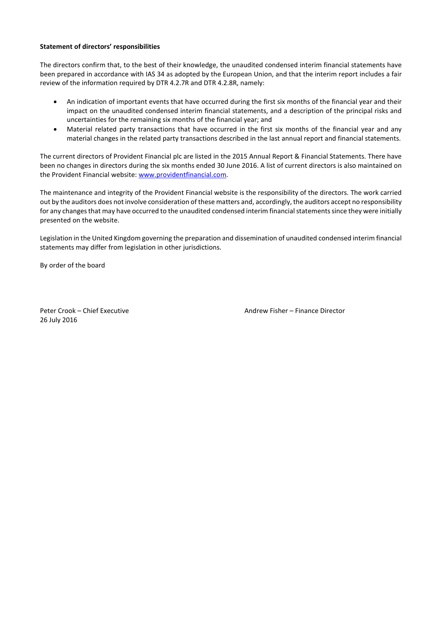## **Statement of directors' responsibilities**

The directors confirm that, to the best of their knowledge, the unaudited condensed interim financial statements have been prepared in accordance with IAS 34 as adopted by the European Union, and that the interim report includes a fair review of the information required by DTR 4.2.7R and DTR 4.2.8R, namely:

- An indication of important events that have occurred during the first six months of the financial year and their impact on the unaudited condensed interim financial statements, and a description of the principal risks and uncertainties for the remaining six months of the financial year; and
- Material related party transactions that have occurred in the first six months of the financial year and any material changes in the related party transactions described in the last annual report and financial statements.

The current directors of Provident Financial plc are listed in the 2015 Annual Report & Financial Statements. There have been no changes in directors during the six months ended 30 June 2016. A list of current directors is also maintained on the Provident Financial website[: www.providentfinancial.com.](http://www.providentfinancial.com/)

The maintenance and integrity of the Provident Financial website is the responsibility of the directors. The work carried out by the auditors does not involve consideration of these matters and, accordingly, the auditors accept no responsibility for any changes that may have occurred to the unaudited condensed interim financial statementssince they were initially presented on the website.

Legislation in the United Kingdom governing the preparation and dissemination of unaudited condensed interim financial statements may differ from legislation in other jurisdictions.

By order of the board

26 July 2016

Peter Crook – Chief Executive **Andrew Fisher – Finance Director** Andrew Fisher – Finance Director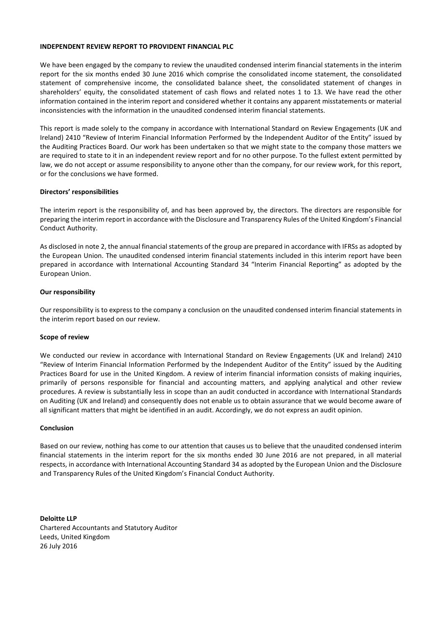#### **INDEPENDENT REVIEW REPORT TO PROVIDENT FINANCIAL PLC**

We have been engaged by the company to review the unaudited condensed interim financial statements in the interim report for the six months ended 30 June 2016 which comprise the consolidated income statement, the consolidated statement of comprehensive income, the consolidated balance sheet, the consolidated statement of changes in shareholders' equity, the consolidated statement of cash flows and related notes 1 to 13. We have read the other information contained in the interim report and considered whether it contains any apparent misstatements or material inconsistencies with the information in the unaudited condensed interim financial statements.

This report is made solely to the company in accordance with International Standard on Review Engagements (UK and Ireland) 2410 "Review of Interim Financial Information Performed by the Independent Auditor of the Entity" issued by the Auditing Practices Board. Our work has been undertaken so that we might state to the company those matters we are required to state to it in an independent review report and for no other purpose. To the fullest extent permitted by law, we do not accept or assume responsibility to anyone other than the company, for our review work, for this report, or for the conclusions we have formed.

# **Directors' responsibilities**

The interim report is the responsibility of, and has been approved by, the directors. The directors are responsible for preparing the interim report in accordance with the Disclosure and Transparency Rules of the United Kingdom's Financial Conduct Authority.

As disclosed in note 2, the annual financial statements of the group are prepared in accordance with IFRSs as adopted by the European Union. The unaudited condensed interim financial statements included in this interim report have been prepared in accordance with International Accounting Standard 34 "Interim Financial Reporting" as adopted by the European Union.

#### **Our responsibility**

Our responsibility is to express to the company a conclusion on the unaudited condensed interim financial statements in the interim report based on our review.

#### **Scope of review**

We conducted our review in accordance with International Standard on Review Engagements (UK and Ireland) 2410 "Review of Interim Financial Information Performed by the Independent Auditor of the Entity" issued by the Auditing Practices Board for use in the United Kingdom. A review of interim financial information consists of making inquiries, primarily of persons responsible for financial and accounting matters, and applying analytical and other review procedures. A review is substantially less in scope than an audit conducted in accordance with International Standards on Auditing (UK and Ireland) and consequently does not enable us to obtain assurance that we would become aware of all significant matters that might be identified in an audit. Accordingly, we do not express an audit opinion.

#### **Conclusion**

Based on our review, nothing has come to our attention that causes us to believe that the unaudited condensed interim financial statements in the interim report for the six months ended 30 June 2016 are not prepared, in all material respects, in accordance with International Accounting Standard 34 as adopted by the European Union and the Disclosure and Transparency Rules of the United Kingdom's Financial Conduct Authority.

**Deloitte LLP** Chartered Accountants and Statutory Auditor Leeds, United Kingdom 26 July 2016